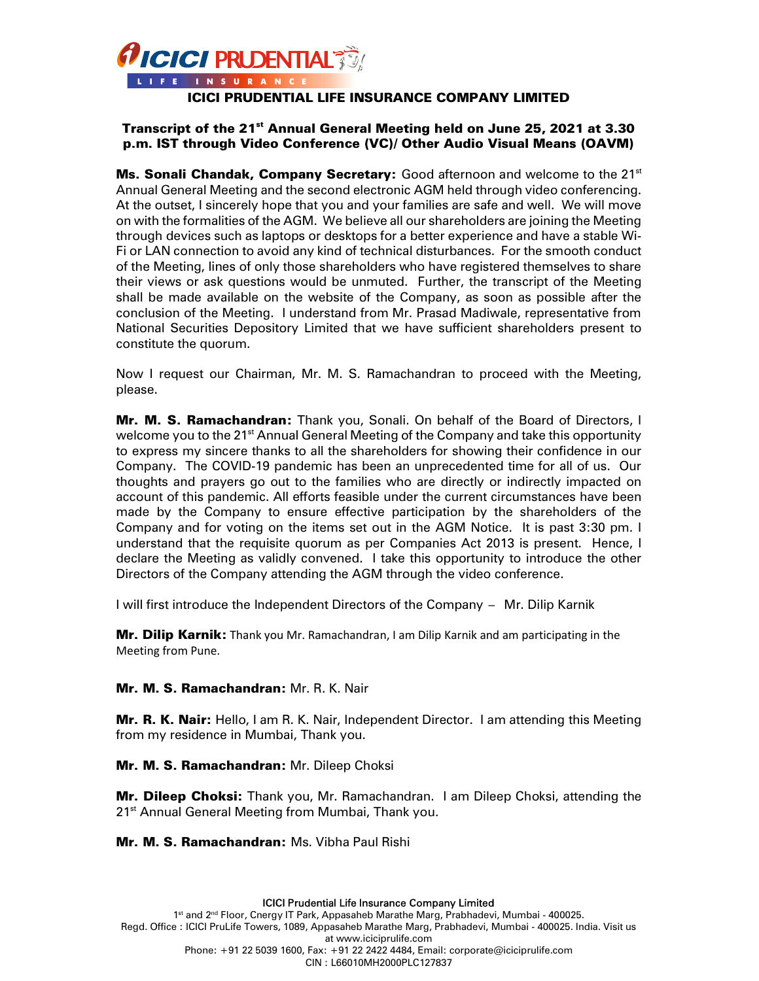

# ICICI PRUDENTIAL LIFE INSURANCE COMPANY LIMITED

# Transcript of the 21<sup>st</sup> Annual General Meeting held on June 25, 2021 at 3.30 p.m. IST through Video Conference (VC)/ Other Audio Visual Means (OAVM)

**Ms. Sonali Chandak, Company Secretary:** Good afternoon and welcome to the  $21<sup>st</sup>$ Annual General Meeting and the second electronic AGM held through video conferencing. At the outset, I sincerely hope that you and your families are safe and well. We will move on with the formalities of the AGM. We believe all our shareholders are joining the Meeting through devices such as laptops or desktops for a better experience and have a stable Wi-Fi or LAN connection to avoid any kind of technical disturbances. For the smooth conduct of the Meeting, lines of only those shareholders who have registered themselves to share their views or ask questions would be unmuted. Further, the transcript of the Meeting shall be made available on the website of the Company, as soon as possible after the conclusion of the Meeting. I understand from Mr. Prasad Madiwale, representative from National Securities Depository Limited that we have sufficient shareholders present to constitute the quorum.

Now I request our Chairman, Mr. M. S. Ramachandran to proceed with the Meeting, please.

**Mr. M. S. Ramachandran:** Thank you, Sonali. On behalf of the Board of Directors, I welcome you to the 21<sup>st</sup> Annual General Meeting of the Company and take this opportunity to express my sincere thanks to all the shareholders for showing their confidence in our Company. The COVID-19 pandemic has been an unprecedented time for all of us. Our thoughts and prayers go out to the families who are directly or indirectly impacted on account of this pandemic. All efforts feasible under the current circumstances have been made by the Company to ensure effective participation by the shareholders of the Company and for voting on the items set out in the AGM Notice. It is past 3:30 pm. I understand that the requisite quorum as per Companies Act 2013 is present. Hence, I declare the Meeting as validly convened. I take this opportunity to introduce the other Directors of the Company attending the AGM through the video conference.

I will first introduce the Independent Directors of the Company – Mr. Dilip Karnik

Mr. Dilip Karnik: Thank you Mr. Ramachandran, I am Dilip Karnik and am participating in the Meeting from Pune.

# Mr. M. S. Ramachandran: Mr. R. K. Nair

Mr. R. K. Nair: Hello, I am R. K. Nair, Independent Director. I am attending this Meeting from my residence in Mumbai, Thank you.

# Mr. M. S. Ramachandran: Mr. Dileep Choksi

Mr. Dileep Choksi: Thank you, Mr. Ramachandran. I am Dileep Choksi, attending the 21<sup>st</sup> Annual General Meeting from Mumbai, Thank you.

# Mr. M. S. Ramachandran: Ms. Vibha Paul Rishi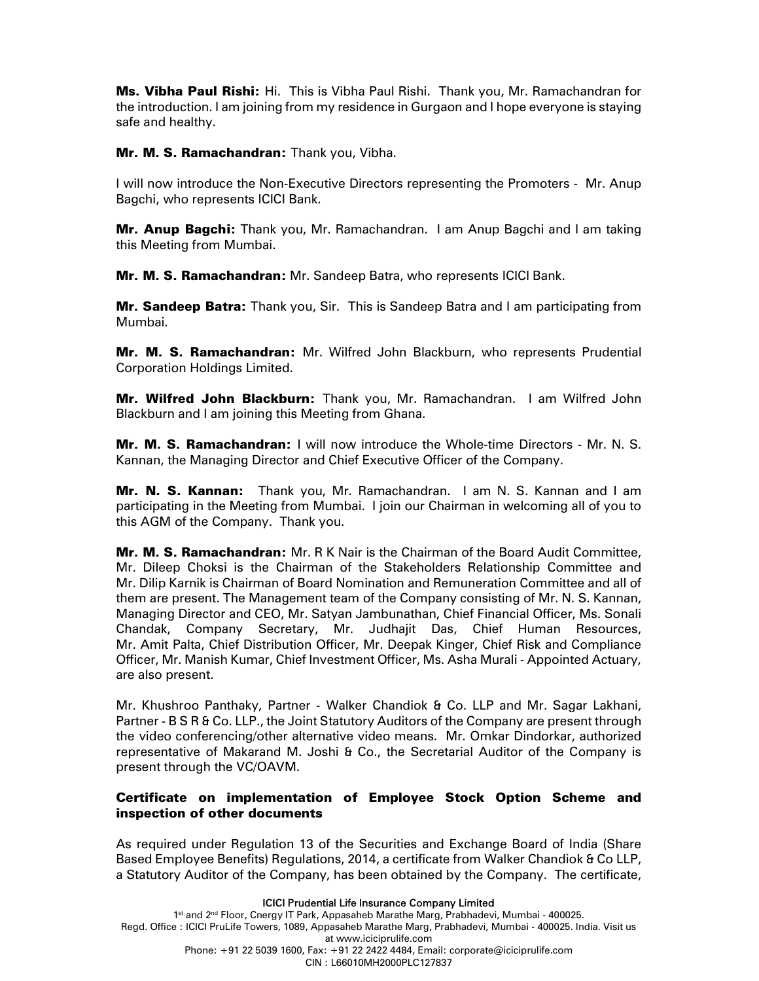Ms. Vibha Paul Rishi: Hi. This is Vibha Paul Rishi. Thank you, Mr. Ramachandran for the introduction. I am joining from my residence in Gurgaon and I hope everyone is staying safe and healthy.

Mr. M. S. Ramachandran: Thank you, Vibha.

I will now introduce the Non-Executive Directors representing the Promoters - Mr. Anup Bagchi, who represents ICICI Bank.

**Mr. Anup Bagchi:** Thank you, Mr. Ramachandran. I am Anup Bagchi and I am taking this Meeting from Mumbai.

Mr. M. S. Ramachandran: Mr. Sandeep Batra, who represents ICICI Bank.

**Mr. Sandeep Batra:** Thank you, Sir. This is Sandeep Batra and I am participating from Mumbai.

Mr. M. S. Ramachandran: Mr. Wilfred John Blackburn, who represents Prudential Corporation Holdings Limited.

Mr. Wilfred John Blackburn: Thank you, Mr. Ramachandran. I am Wilfred John Blackburn and I am joining this Meeting from Ghana.

**Mr. M. S. Ramachandran:** I will now introduce the Whole-time Directors - Mr. N. S. Kannan, the Managing Director and Chief Executive Officer of the Company.

Mr. N. S. Kannan: Thank you, Mr. Ramachandran. I am N. S. Kannan and I am participating in the Meeting from Mumbai. I join our Chairman in welcoming all of you to this AGM of the Company. Thank you.

Mr. M. S. Ramachandran: Mr. R K Nair is the Chairman of the Board Audit Committee, Mr. Dileep Choksi is the Chairman of the Stakeholders Relationship Committee and Mr. Dilip Karnik is Chairman of Board Nomination and Remuneration Committee and all of them are present. The Management team of the Company consisting of Mr. N. S. Kannan, Managing Director and CEO, Mr. Satyan Jambunathan, Chief Financial Officer, Ms. Sonali Chandak, Company Secretary, Mr. Judhajit Das, Chief Human Resources, Mr. Amit Palta, Chief Distribution Officer, Mr. Deepak Kinger, Chief Risk and Compliance Officer, Mr. Manish Kumar, Chief Investment Officer, Ms. Asha Murali - Appointed Actuary, are also present.

Mr. Khushroo Panthaky, Partner - Walker Chandiok & Co. LLP and Mr. Sagar Lakhani, Partner - B S R & Co. LLP., the Joint Statutory Auditors of the Company are present through the video conferencing/other alternative video means. Mr. Omkar Dindorkar, authorized representative of Makarand M. Joshi & Co., the Secretarial Auditor of the Company is present through the VC/OAVM.

# Certificate on implementation of Employee Stock Option Scheme and inspection of other documents

As required under Regulation 13 of the Securities and Exchange Board of India (Share Based Employee Benefits) Regulations, 2014, a certificate from Walker Chandiok & Co LLP, a Statutory Auditor of the Company, has been obtained by the Company. The certificate,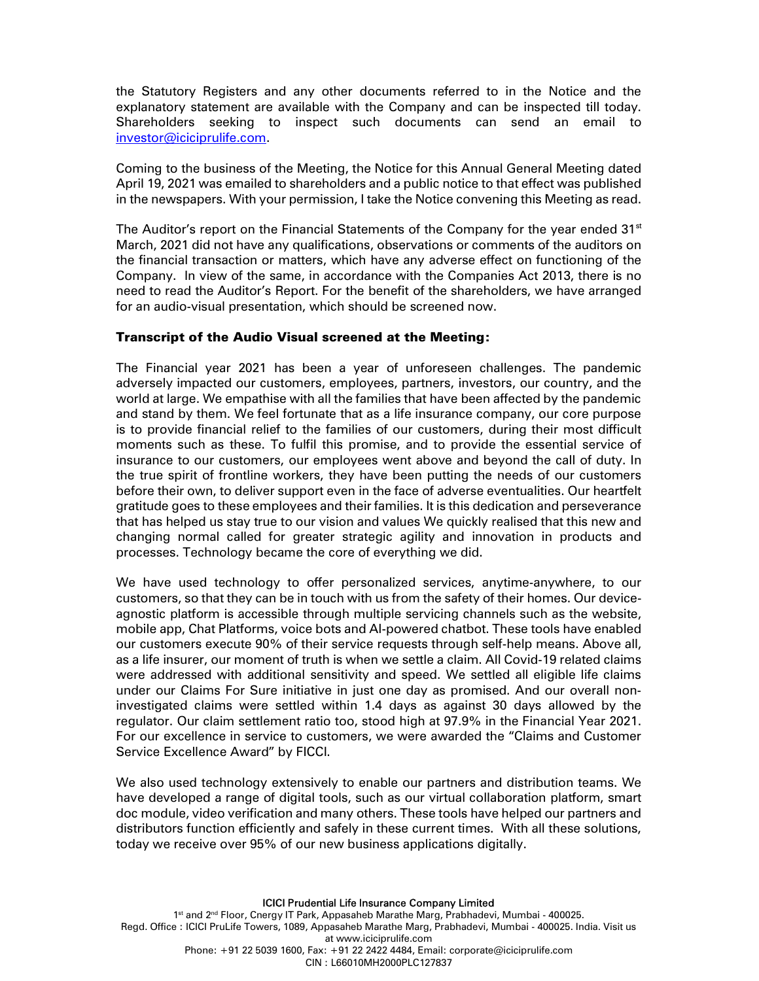the Statutory Registers and any other documents referred to in the Notice and the explanatory statement are available with the Company and can be inspected till today. Shareholders seeking to inspect such documents can send an email to investor@iciciprulife.com.

Coming to the business of the Meeting, the Notice for this Annual General Meeting dated April 19, 2021 was emailed to shareholders and a public notice to that effect was published in the newspapers. With your permission, I take the Notice convening this Meeting as read.

The Auditor's report on the Financial Statements of the Company for the year ended  $31<sup>st</sup>$ March, 2021 did not have any qualifications, observations or comments of the auditors on the financial transaction or matters, which have any adverse effect on functioning of the Company. In view of the same, in accordance with the Companies Act 2013, there is no need to read the Auditor's Report. For the benefit of the shareholders, we have arranged for an audio-visual presentation, which should be screened now.

# Transcript of the Audio Visual screened at the Meeting:

The Financial year 2021 has been a year of unforeseen challenges. The pandemic adversely impacted our customers, employees, partners, investors, our country, and the world at large. We empathise with all the families that have been affected by the pandemic and stand by them. We feel fortunate that as a life insurance company, our core purpose is to provide financial relief to the families of our customers, during their most difficult moments such as these. To fulfil this promise, and to provide the essential service of insurance to our customers, our employees went above and beyond the call of duty. In the true spirit of frontline workers, they have been putting the needs of our customers before their own, to deliver support even in the face of adverse eventualities. Our heartfelt gratitude goes to these employees and their families. It is this dedication and perseverance that has helped us stay true to our vision and values We quickly realised that this new and changing normal called for greater strategic agility and innovation in products and processes. Technology became the core of everything we did.

We have used technology to offer personalized services, anytime-anywhere, to our customers, so that they can be in touch with us from the safety of their homes. Our deviceagnostic platform is accessible through multiple servicing channels such as the website, mobile app, Chat Platforms, voice bots and AI-powered chatbot. These tools have enabled our customers execute 90% of their service requests through self-help means. Above all, as a life insurer, our moment of truth is when we settle a claim. All Covid-19 related claims were addressed with additional sensitivity and speed. We settled all eligible life claims under our Claims For Sure initiative in just one day as promised. And our overall noninvestigated claims were settled within 1.4 days as against 30 days allowed by the regulator. Our claim settlement ratio too, stood high at 97.9% in the Financial Year 2021. For our excellence in service to customers, we were awarded the "Claims and Customer Service Excellence Award" by FICCI.

We also used technology extensively to enable our partners and distribution teams. We have developed a range of digital tools, such as our virtual collaboration platform, smart doc module, video verification and many others. These tools have helped our partners and distributors function efficiently and safely in these current times. With all these solutions, today we receive over 95% of our new business applications digitally.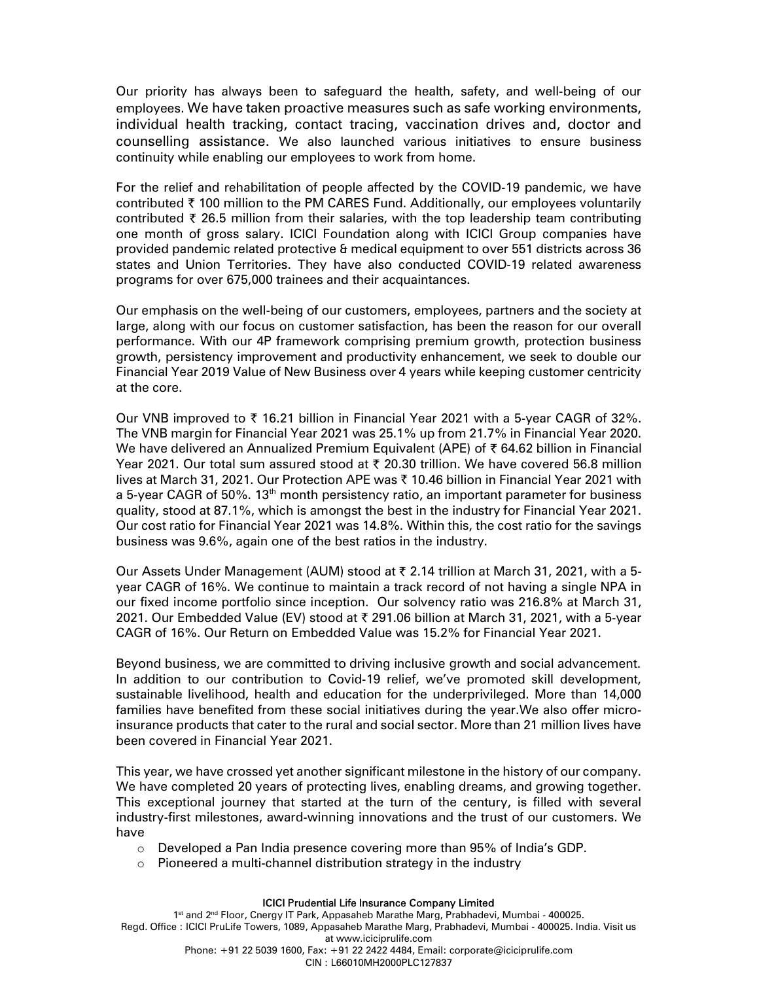Our priority has always been to safeguard the health, safety, and well-being of our employees. We have taken proactive measures such as safe working environments, individual health tracking, contact tracing, vaccination drives and, doctor and counselling assistance. We also launched various initiatives to ensure business continuity while enabling our employees to work from home.

For the relief and rehabilitation of people affected by the COVID-19 pandemic, we have contributed  $\bar{\tau}$  100 million to the PM CARES Fund. Additionally, our employees voluntarily contributed  $\bar{\tau}$  26.5 million from their salaries, with the top leadership team contributing one month of gross salary. ICICI Foundation along with ICICI Group companies have provided pandemic related protective & medical equipment to over 551 districts across 36 states and Union Territories. They have also conducted COVID-19 related awareness programs for over 675,000 trainees and their acquaintances.

Our emphasis on the well-being of our customers, employees, partners and the society at large, along with our focus on customer satisfaction, has been the reason for our overall performance. With our 4P framework comprising premium growth, protection business growth, persistency improvement and productivity enhancement, we seek to double our Financial Year 2019 Value of New Business over 4 years while keeping customer centricity at the core.

Our VNB improved to  $\overline{\zeta}$  16.21 billion in Financial Year 2021 with a 5-year CAGR of 32%. The VNB margin for Financial Year 2021 was 25.1% up from 21.7% in Financial Year 2020. We have delivered an Annualized Premium Equivalent (APE) of  $\bar{\tau}$  64.62 billion in Financial Year 2021. Our total sum assured stood at  $\bar{\tau}$  20.30 trillion. We have covered 56.8 million lives at March 31, 2021. Our Protection APE was 10.46 billion in Financial Year 2021 with a 5-year CAGR of 50%. 13<sup>th</sup> month persistency ratio, an important parameter for business quality, stood at 87.1%, which is amongst the best in the industry for Financial Year 2021. Our cost ratio for Financial Year 2021 was 14.8%. Within this, the cost ratio for the savings business was 9.6%, again one of the best ratios in the industry.

Our Assets Under Management (AUM) stood at 2.14 trillion at March 31, 2021, with a 5 year CAGR of 16%. We continue to maintain a track record of not having a single NPA in our fixed income portfolio since inception. Our solvency ratio was 216.8% at March 31, 2021. Our Embedded Value (EV) stood at  $\bar{\tau}$  291.06 billion at March 31, 2021, with a 5-year CAGR of 16%. Our Return on Embedded Value was 15.2% for Financial Year 2021.

Beyond business, we are committed to driving inclusive growth and social advancement. In addition to our contribution to Covid-19 relief, we've promoted skill development, sustainable livelihood, health and education for the underprivileged. More than 14,000 families have benefited from these social initiatives during the year.We also offer microinsurance products that cater to the rural and social sector. More than 21 million lives have been covered in Financial Year 2021.

This year, we have crossed yet another significant milestone in the history of our company. We have completed 20 years of protecting lives, enabling dreams, and growing together. This exceptional journey that started at the turn of the century, is filled with several industry-first milestones, award-winning innovations and the trust of our customers. We have

- $\circ$  Developed a Pan India presence covering more than 95% of India's GDP.
- o Pioneered a multi-channel distribution strategy in the industry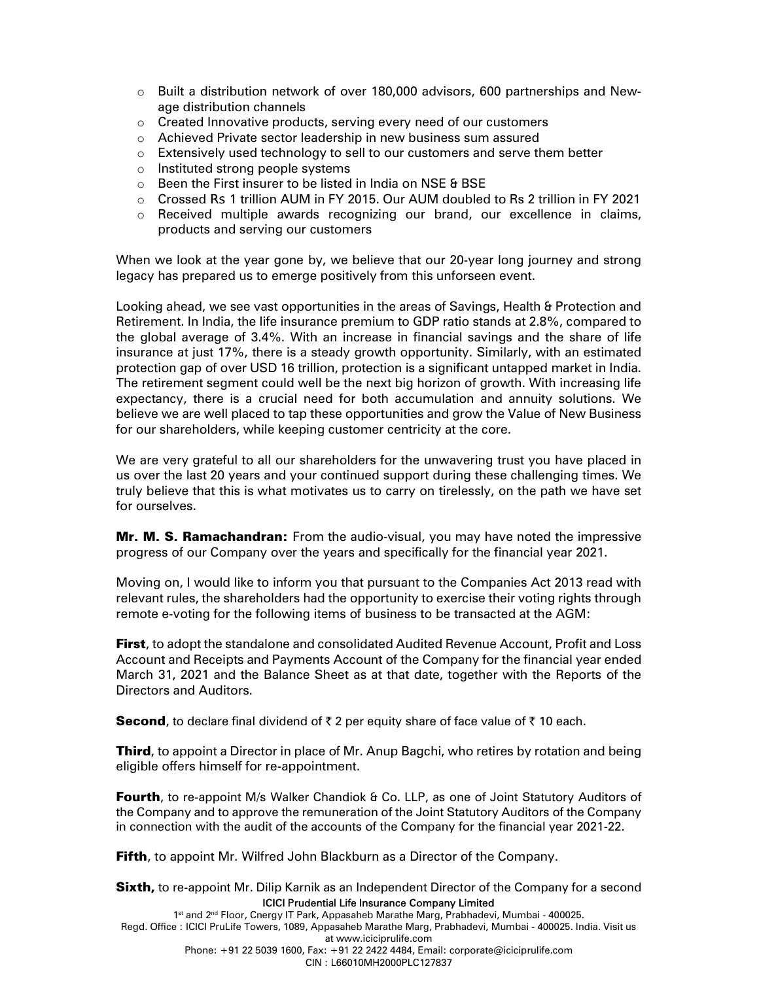- $\circ$  Built a distribution network of over 180,000 advisors, 600 partnerships and Newage distribution channels
- o Created Innovative products, serving every need of our customers
- o Achieved Private sector leadership in new business sum assured
- $\circ$  Extensively used technology to sell to our customers and serve them better
- o Instituted strong people systems
- $\circ$  Been the First insurer to be listed in India on NSE & BSE
- $\circ$  Crossed Rs 1 trillion AUM in FY 2015. Our AUM doubled to Rs 2 trillion in FY 2021
- o Received multiple awards recognizing our brand, our excellence in claims, products and serving our customers

When we look at the year gone by, we believe that our 20-year long journey and strong legacy has prepared us to emerge positively from this unforseen event.

Looking ahead, we see vast opportunities in the areas of Savings, Health & Protection and Retirement. In India, the life insurance premium to GDP ratio stands at 2.8%, compared to the global average of 3.4%. With an increase in financial savings and the share of life insurance at just 17%, there is a steady growth opportunity. Similarly, with an estimated protection gap of over USD 16 trillion, protection is a significant untapped market in India. The retirement segment could well be the next big horizon of growth. With increasing life expectancy, there is a crucial need for both accumulation and annuity solutions. We believe we are well placed to tap these opportunities and grow the Value of New Business for our shareholders, while keeping customer centricity at the core.

We are very grateful to all our shareholders for the unwavering trust you have placed in us over the last 20 years and your continued support during these challenging times. We truly believe that this is what motivates us to carry on tirelessly, on the path we have set for ourselves.

Mr. M. S. Ramachandran: From the audio-visual, you may have noted the impressive progress of our Company over the years and specifically for the financial year 2021.

Moving on, I would like to inform you that pursuant to the Companies Act 2013 read with relevant rules, the shareholders had the opportunity to exercise their voting rights through remote e-voting for the following items of business to be transacted at the AGM:

**First**, to adopt the standalone and consolidated Audited Revenue Account, Profit and Loss Account and Receipts and Payments Account of the Company for the financial year ended March 31, 2021 and the Balance Sheet as at that date, together with the Reports of the Directors and Auditors.

Second, to declare final dividend of  $\bar{\tau}$  2 per equity share of face value of  $\bar{\tau}$  10 each.

**Third**, to appoint a Director in place of Mr. Anup Bagchi, who retires by rotation and being eligible offers himself for re-appointment.

Fourth, to re-appoint M/s Walker Chandiok & Co. LLP, as one of Joint Statutory Auditors of the Company and to approve the remuneration of the Joint Statutory Auditors of the Company in connection with the audit of the accounts of the Company for the financial year 2021-22.

Fifth, to appoint Mr. Wilfred John Blackburn as a Director of the Company.

ICICI Prudential Life Insurance Company Limited **Sixth,** to re-appoint Mr. Dilip Karnik as an Independent Director of the Company for a second

1<sup>st</sup> and 2<sup>nd</sup> Floor, Cnergy IT Park, Appasaheb Marathe Marg, Prabhadevi, Mumbai - 400025. Regd. Office : ICICI PruLife Towers, 1089, Appasaheb Marathe Marg, Prabhadevi, Mumbai - 400025. India. Visit us at www.iciciprulife.com

Phone: +91 22 5039 1600, Fax: +91 22 2422 4484, Email: corporate@iciciprulife.com CIN : L66010MH2000PLC127837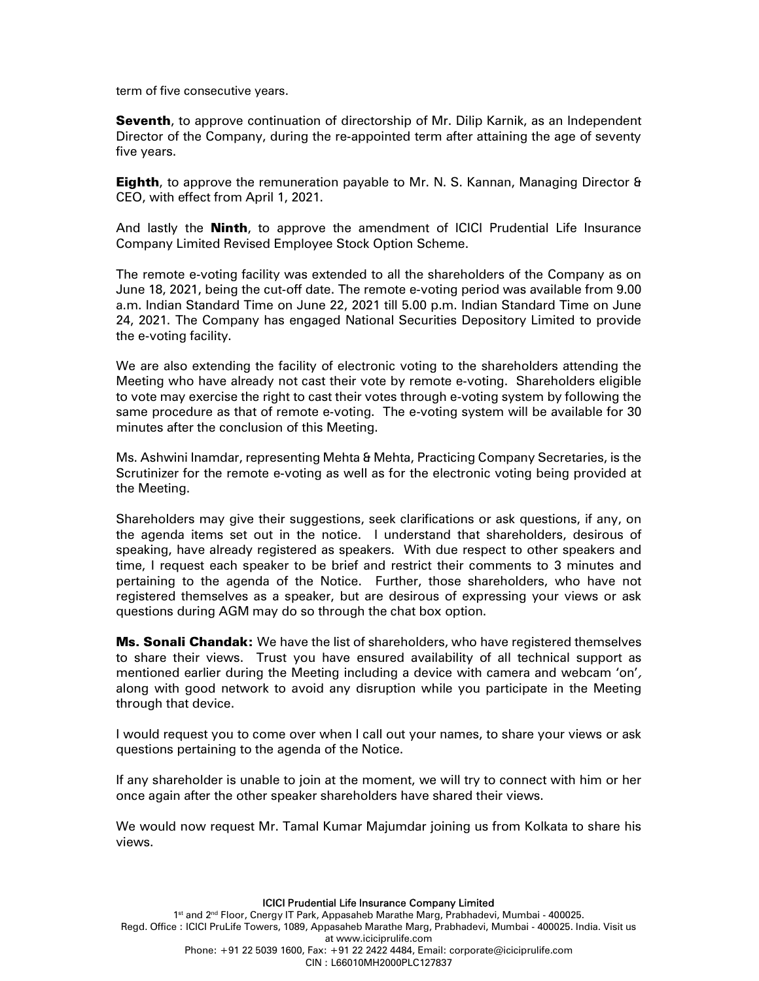term of five consecutive years.

**Seventh**, to approve continuation of directorship of Mr. Dilip Karnik, as an Independent Director of the Company, during the re-appointed term after attaining the age of seventy five years.

**Eighth**, to approve the remuneration payable to Mr. N. S. Kannan, Managing Director & CEO, with effect from April 1, 2021.

And lastly the **Ninth**, to approve the amendment of ICICI Prudential Life Insurance Company Limited Revised Employee Stock Option Scheme.

The remote e-voting facility was extended to all the shareholders of the Company as on June 18, 2021, being the cut-off date. The remote e-voting period was available from 9.00 a.m. Indian Standard Time on June 22, 2021 till 5.00 p.m. Indian Standard Time on June 24, 2021. The Company has engaged National Securities Depository Limited to provide the e-voting facility.

We are also extending the facility of electronic voting to the shareholders attending the Meeting who have already not cast their vote by remote e-voting. Shareholders eligible to vote may exercise the right to cast their votes through e-voting system by following the same procedure as that of remote e-voting. The e-voting system will be available for 30 minutes after the conclusion of this Meeting.

Ms. Ashwini Inamdar, representing Mehta & Mehta, Practicing Company Secretaries, is the Scrutinizer for the remote e-voting as well as for the electronic voting being provided at the Meeting.

Shareholders may give their suggestions, seek clarifications or ask questions, if any, on the agenda items set out in the notice. I understand that shareholders, desirous of speaking, have already registered as speakers. With due respect to other speakers and time, I request each speaker to be brief and restrict their comments to 3 minutes and pertaining to the agenda of the Notice. Further, those shareholders, who have not registered themselves as a speaker, but are desirous of expressing your views or ask questions during AGM may do so through the chat box option.

**Ms. Sonali Chandak:** We have the list of shareholders, who have registered themselves to share their views. Trust you have ensured availability of all technical support as mentioned earlier during the Meeting including a device with camera and webcam 'on', along with good network to avoid any disruption while you participate in the Meeting through that device.

I would request you to come over when I call out your names, to share your views or ask questions pertaining to the agenda of the Notice.

If any shareholder is unable to join at the moment, we will try to connect with him or her once again after the other speaker shareholders have shared their views.

We would now request Mr. Tamal Kumar Majumdar joining us from Kolkata to share his views.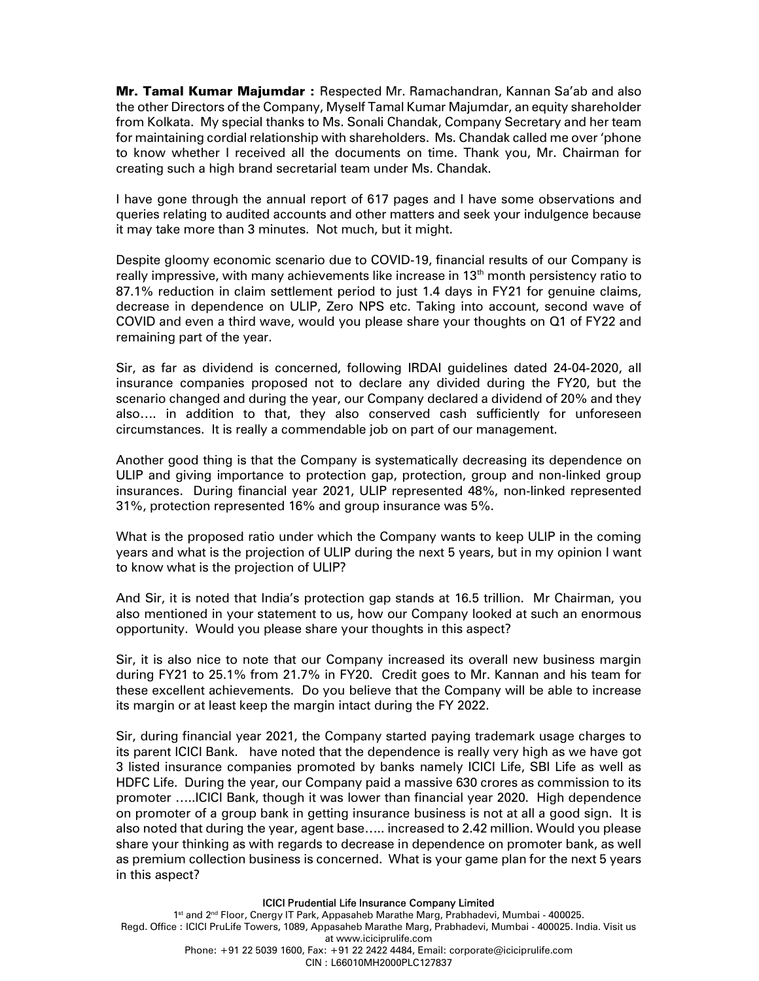Mr. Tamal Kumar Majumdar: Respected Mr. Ramachandran, Kannan Sa'ab and also the other Directors of the Company, Myself Tamal Kumar Majumdar, an equity shareholder from Kolkata. My special thanks to Ms. Sonali Chandak, Company Secretary and her team for maintaining cordial relationship with shareholders. Ms. Chandak called me over 'phone to know whether I received all the documents on time. Thank you, Mr. Chairman for creating such a high brand secretarial team under Ms. Chandak.

I have gone through the annual report of 617 pages and I have some observations and queries relating to audited accounts and other matters and seek your indulgence because it may take more than 3 minutes. Not much, but it might.

Despite gloomy economic scenario due to COVID-19, financial results of our Company is really impressive, with many achievements like increase in 13<sup>th</sup> month persistency ratio to 87.1% reduction in claim settlement period to just 1.4 days in FY21 for genuine claims, decrease in dependence on ULIP, Zero NPS etc. Taking into account, second wave of COVID and even a third wave, would you please share your thoughts on Q1 of FY22 and remaining part of the year.

Sir, as far as dividend is concerned, following IRDAI guidelines dated 24-04-2020, all insurance companies proposed not to declare any divided during the FY20, but the scenario changed and during the year, our Company declared a dividend of 20% and they also…. in addition to that, they also conserved cash sufficiently for unforeseen circumstances. It is really a commendable job on part of our management.

Another good thing is that the Company is systematically decreasing its dependence on ULIP and giving importance to protection gap, protection, group and non-linked group insurances. During financial year 2021, ULIP represented 48%, non-linked represented 31%, protection represented 16% and group insurance was 5%.

What is the proposed ratio under which the Company wants to keep ULIP in the coming years and what is the projection of ULIP during the next 5 years, but in my opinion I want to know what is the projection of ULIP?

And Sir, it is noted that India's protection gap stands at 16.5 trillion. Mr Chairman, you also mentioned in your statement to us, how our Company looked at such an enormous opportunity. Would you please share your thoughts in this aspect?

Sir, it is also nice to note that our Company increased its overall new business margin during FY21 to 25.1% from 21.7% in FY20. Credit goes to Mr. Kannan and his team for these excellent achievements. Do you believe that the Company will be able to increase its margin or at least keep the margin intact during the FY 2022.

Sir, during financial year 2021, the Company started paying trademark usage charges to its parent ICICI Bank. have noted that the dependence is really very high as we have got 3 listed insurance companies promoted by banks namely ICICI Life, SBI Life as well as HDFC Life. During the year, our Company paid a massive 630 crores as commission to its promoter …..ICICI Bank, though it was lower than financial year 2020. High dependence on promoter of a group bank in getting insurance business is not at all a good sign. It is also noted that during the year, agent base….. increased to 2.42 million. Would you please share your thinking as with regards to decrease in dependence on promoter bank, as well as premium collection business is concerned. What is your game plan for the next 5 years in this aspect?

### ICICI Prudential Life Insurance Company Limited

1<sup>st</sup> and 2<sup>nd</sup> Floor, Cnergy IT Park, Appasaheb Marathe Marg, Prabhadevi, Mumbai - 400025. Regd. Office : ICICI PruLife Towers, 1089, Appasaheb Marathe Marg, Prabhadevi, Mumbai - 400025. India. Visit us at www.iciciprulife.com Phone: +91 22 5039 1600, Fax: +91 22 2422 4484, Email: corporate@iciciprulife.com CIN : L66010MH2000PLC127837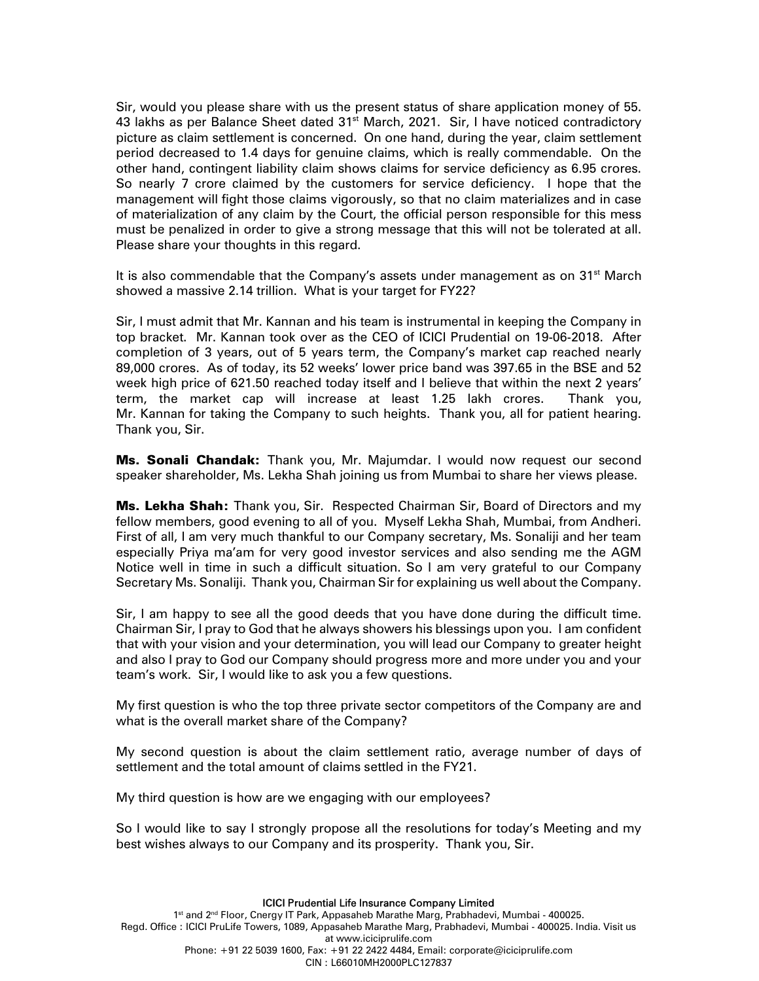Sir, would you please share with us the present status of share application money of 55. 43 lakhs as per Balance Sheet dated 31<sup>st</sup> March, 2021. Sir, I have noticed contradictory picture as claim settlement is concerned. On one hand, during the year, claim settlement period decreased to 1.4 days for genuine claims, which is really commendable. On the other hand, contingent liability claim shows claims for service deficiency as 6.95 crores. So nearly 7 crore claimed by the customers for service deficiency. I hope that the management will fight those claims vigorously, so that no claim materializes and in case of materialization of any claim by the Court, the official person responsible for this mess must be penalized in order to give a strong message that this will not be tolerated at all. Please share your thoughts in this regard.

It is also commendable that the Company's assets under management as on 31<sup>st</sup> March showed a massive 2.14 trillion. What is your target for FY22?

Sir, I must admit that Mr. Kannan and his team is instrumental in keeping the Company in top bracket. Mr. Kannan took over as the CEO of ICICI Prudential on 19-06-2018. After completion of 3 years, out of 5 years term, the Company's market cap reached nearly 89,000 crores. As of today, its 52 weeks' lower price band was 397.65 in the BSE and 52 week high price of 621.50 reached today itself and I believe that within the next 2 years' term, the market cap will increase at least 1.25 lakh crores. Thank you, Mr. Kannan for taking the Company to such heights. Thank you, all for patient hearing. Thank you, Sir.

**Ms. Sonali Chandak:** Thank you, Mr. Majumdar. I would now request our second speaker shareholder, Ms. Lekha Shah joining us from Mumbai to share her views please.

**Ms. Lekha Shah:** Thank you, Sir. Respected Chairman Sir, Board of Directors and my fellow members, good evening to all of you. Myself Lekha Shah, Mumbai, from Andheri. First of all, I am very much thankful to our Company secretary, Ms. Sonaliji and her team especially Priya ma'am for very good investor services and also sending me the AGM Notice well in time in such a difficult situation. So I am very grateful to our Company Secretary Ms. Sonaliji. Thank you, Chairman Sir for explaining us well about the Company.

Sir, I am happy to see all the good deeds that you have done during the difficult time. Chairman Sir, I pray to God that he always showers his blessings upon you. I am confident that with your vision and your determination, you will lead our Company to greater height and also I pray to God our Company should progress more and more under you and your team's work. Sir, I would like to ask you a few questions.

My first question is who the top three private sector competitors of the Company are and what is the overall market share of the Company?

My second question is about the claim settlement ratio, average number of days of settlement and the total amount of claims settled in the FY21.

My third question is how are we engaging with our employees?

So I would like to say I strongly propose all the resolutions for today's Meeting and my best wishes always to our Company and its prosperity. Thank you, Sir.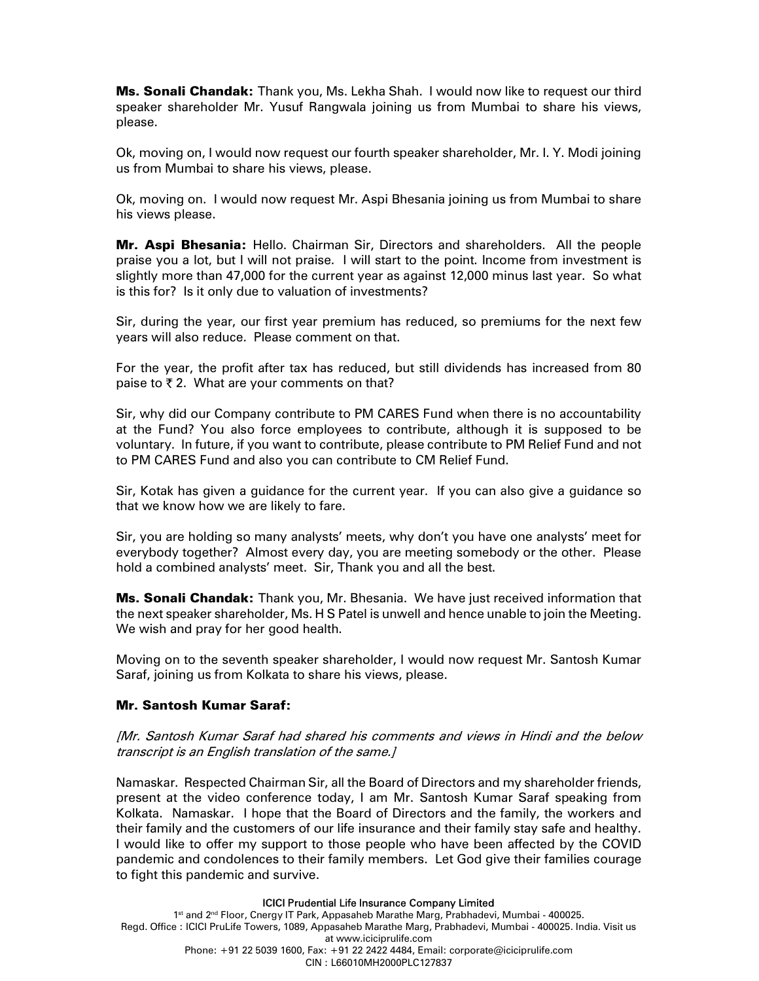**Ms. Sonali Chandak:** Thank you, Ms. Lekha Shah. I would now like to request our third speaker shareholder Mr. Yusuf Rangwala joining us from Mumbai to share his views, please.

Ok, moving on, I would now request our fourth speaker shareholder, Mr. I. Y. Modi joining us from Mumbai to share his views, please.

Ok, moving on. I would now request Mr. Aspi Bhesania joining us from Mumbai to share his views please.

Mr. Aspi Bhesania: Hello. Chairman Sir, Directors and shareholders. All the people praise you a lot, but I will not praise. I will start to the point. Income from investment is slightly more than 47,000 for the current year as against 12,000 minus last year. So what is this for? Is it only due to valuation of investments?

Sir, during the year, our first year premium has reduced, so premiums for the next few years will also reduce. Please comment on that.

For the year, the profit after tax has reduced, but still dividends has increased from 80 paise to  $\bar{\tau}$  2. What are your comments on that?

Sir, why did our Company contribute to PM CARES Fund when there is no accountability at the Fund? You also force employees to contribute, although it is supposed to be voluntary. In future, if you want to contribute, please contribute to PM Relief Fund and not to PM CARES Fund and also you can contribute to CM Relief Fund.

Sir, Kotak has given a guidance for the current year. If you can also give a guidance so that we know how we are likely to fare.

Sir, you are holding so many analysts' meets, why don't you have one analysts' meet for everybody together? Almost every day, you are meeting somebody or the other. Please hold a combined analysts' meet. Sir, Thank you and all the best.

**Ms. Sonali Chandak:** Thank you, Mr. Bhesania. We have just received information that the next speaker shareholder, Ms. H S Patel is unwell and hence unable to join the Meeting. We wish and pray for her good health.

Moving on to the seventh speaker shareholder, I would now request Mr. Santosh Kumar Saraf, joining us from Kolkata to share his views, please.

### Mr. Santosh Kumar Saraf:

### [Mr. Santosh Kumar Saraf had shared his comments and views in Hindi and the below transcript is an English translation of the same.]

Namaskar. Respected Chairman Sir, all the Board of Directors and my shareholder friends, present at the video conference today, I am Mr. Santosh Kumar Saraf speaking from Kolkata. Namaskar. I hope that the Board of Directors and the family, the workers and their family and the customers of our life insurance and their family stay safe and healthy. I would like to offer my support to those people who have been affected by the COVID pandemic and condolences to their family members. Let God give their families courage to fight this pandemic and survive.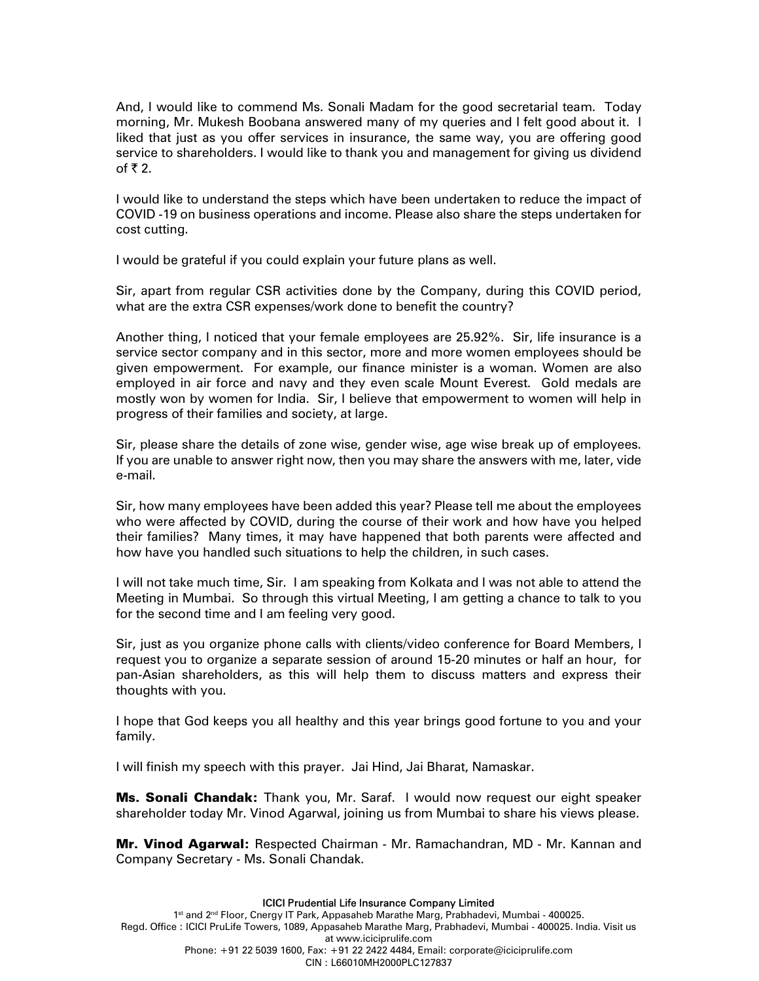And, I would like to commend Ms. Sonali Madam for the good secretarial team. Today morning, Mr. Mukesh Boobana answered many of my queries and I felt good about it. I liked that just as you offer services in insurance, the same way, you are offering good service to shareholders. I would like to thank you and management for giving us dividend of  $\overline{z}$  2.

I would like to understand the steps which have been undertaken to reduce the impact of COVID -19 on business operations and income. Please also share the steps undertaken for cost cutting.

I would be grateful if you could explain your future plans as well.

Sir, apart from regular CSR activities done by the Company, during this COVID period, what are the extra CSR expenses/work done to benefit the country?

Another thing, I noticed that your female employees are 25.92%. Sir, life insurance is a service sector company and in this sector, more and more women employees should be given empowerment. For example, our finance minister is a woman. Women are also employed in air force and navy and they even scale Mount Everest. Gold medals are mostly won by women for India. Sir, I believe that empowerment to women will help in progress of their families and society, at large.

Sir, please share the details of zone wise, gender wise, age wise break up of employees. If you are unable to answer right now, then you may share the answers with me, later, vide e-mail.

Sir, how many employees have been added this year? Please tell me about the employees who were affected by COVID, during the course of their work and how have you helped their families? Many times, it may have happened that both parents were affected and how have you handled such situations to help the children, in such cases.

I will not take much time, Sir. I am speaking from Kolkata and I was not able to attend the Meeting in Mumbai. So through this virtual Meeting, I am getting a chance to talk to you for the second time and I am feeling very good.

Sir, just as you organize phone calls with clients/video conference for Board Members, I request you to organize a separate session of around 15-20 minutes or half an hour, for pan-Asian shareholders, as this will help them to discuss matters and express their thoughts with you.

I hope that God keeps you all healthy and this year brings good fortune to you and your family.

I will finish my speech with this prayer. Jai Hind, Jai Bharat, Namaskar.

**Ms. Sonali Chandak:** Thank you, Mr. Saraf. I would now request our eight speaker shareholder today Mr. Vinod Agarwal, joining us from Mumbai to share his views please.

Mr. Vinod Agarwal: Respected Chairman - Mr. Ramachandran, MD - Mr. Kannan and Company Secretary - Ms. Sonali Chandak.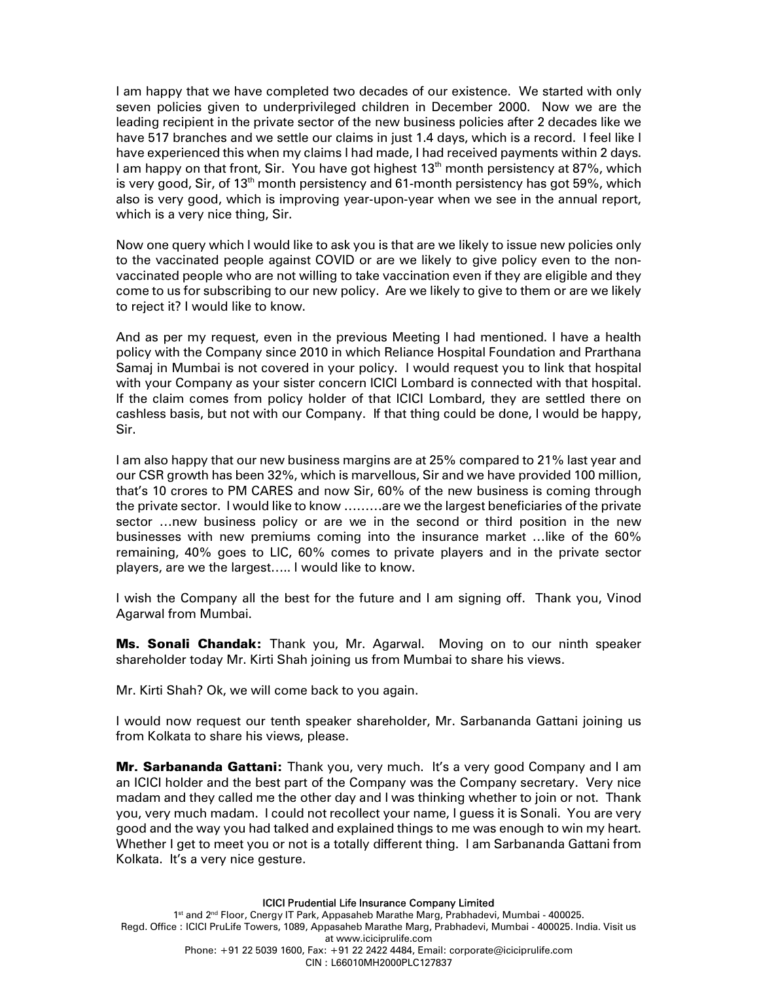I am happy that we have completed two decades of our existence. We started with only seven policies given to underprivileged children in December 2000. Now we are the leading recipient in the private sector of the new business policies after 2 decades like we have 517 branches and we settle our claims in just 1.4 days, which is a record. I feel like I have experienced this when my claims I had made, I had received payments within 2 days. I am happy on that front, Sir. You have got highest  $13<sup>th</sup>$  month persistency at 87%, which is very good, Sir, of  $13<sup>th</sup>$  month persistency and 61-month persistency has got 59%, which also is very good, which is improving year-upon-year when we see in the annual report, which is a very nice thing, Sir.

Now one query which I would like to ask you is that are we likely to issue new policies only to the vaccinated people against COVID or are we likely to give policy even to the nonvaccinated people who are not willing to take vaccination even if they are eligible and they come to us for subscribing to our new policy. Are we likely to give to them or are we likely to reject it? I would like to know.

And as per my request, even in the previous Meeting I had mentioned. I have a health policy with the Company since 2010 in which Reliance Hospital Foundation and Prarthana Samaj in Mumbai is not covered in your policy. I would request you to link that hospital with your Company as your sister concern ICICI Lombard is connected with that hospital. If the claim comes from policy holder of that ICICI Lombard, they are settled there on cashless basis, but not with our Company. If that thing could be done, I would be happy, Sir.

I am also happy that our new business margins are at 25% compared to 21% last year and our CSR growth has been 32%, which is marvellous, Sir and we have provided 100 million, that's 10 crores to PM CARES and now Sir, 60% of the new business is coming through the private sector. I would like to know ………are we the largest beneficiaries of the private sector …new business policy or are we in the second or third position in the new businesses with new premiums coming into the insurance market …like of the 60% remaining, 40% goes to LIC, 60% comes to private players and in the private sector players, are we the largest….. I would like to know.

I wish the Company all the best for the future and I am signing off. Thank you, Vinod Agarwal from Mumbai.

**Ms. Sonali Chandak:** Thank you, Mr. Agarwal. Moving on to our ninth speaker shareholder today Mr. Kirti Shah joining us from Mumbai to share his views.

Mr. Kirti Shah? Ok, we will come back to you again.

I would now request our tenth speaker shareholder, Mr. Sarbananda Gattani joining us from Kolkata to share his views, please.

**Mr. Sarbananda Gattani:** Thank you, very much. It's a very good Company and I am an ICICI holder and the best part of the Company was the Company secretary. Very nice madam and they called me the other day and I was thinking whether to join or not. Thank you, very much madam. I could not recollect your name, I guess it is Sonali. You are very good and the way you had talked and explained things to me was enough to win my heart. Whether I get to meet you or not is a totally different thing. I am Sarbananda Gattani from Kolkata. It's a very nice gesture.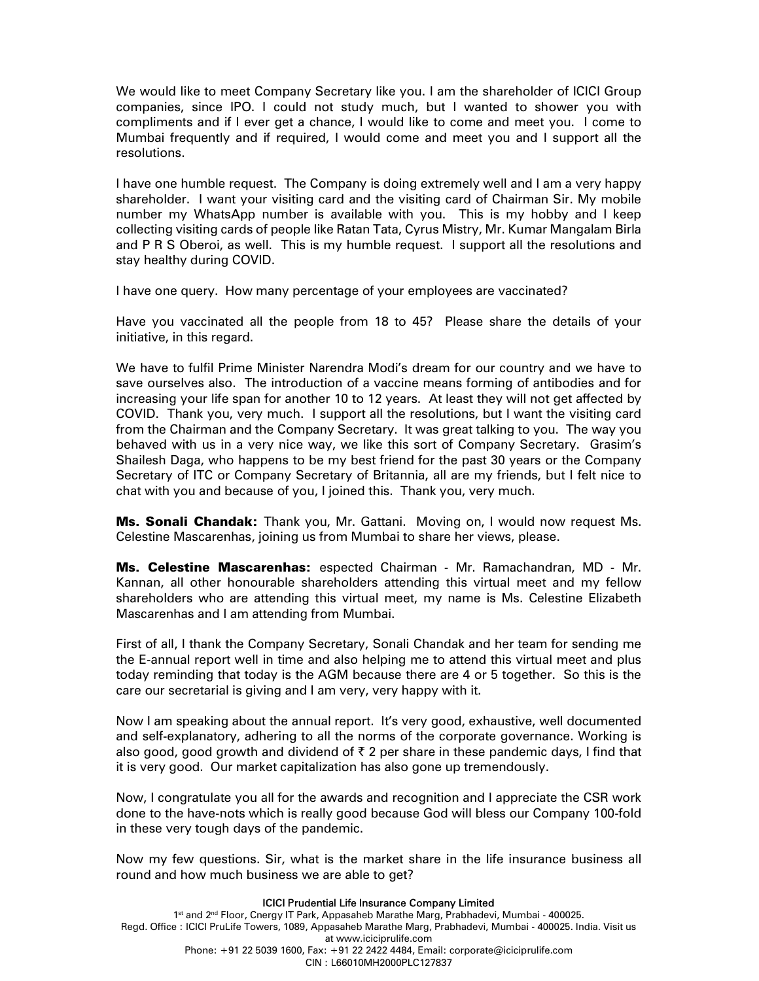We would like to meet Company Secretary like you. I am the shareholder of ICICI Group companies, since IPO. I could not study much, but I wanted to shower you with compliments and if I ever get a chance, I would like to come and meet you. I come to Mumbai frequently and if required, I would come and meet you and I support all the resolutions.

I have one humble request. The Company is doing extremely well and I am a very happy shareholder. I want your visiting card and the visiting card of Chairman Sir. My mobile number my WhatsApp number is available with you. This is my hobby and I keep collecting visiting cards of people like Ratan Tata, Cyrus Mistry, Mr. Kumar Mangalam Birla and P R S Oberoi, as well. This is my humble request. I support all the resolutions and stay healthy during COVID.

I have one query. How many percentage of your employees are vaccinated?

Have you vaccinated all the people from 18 to 45? Please share the details of your initiative, in this regard.

We have to fulfil Prime Minister Narendra Modi's dream for our country and we have to save ourselves also. The introduction of a vaccine means forming of antibodies and for increasing your life span for another 10 to 12 years. At least they will not get affected by COVID. Thank you, very much. I support all the resolutions, but I want the visiting card from the Chairman and the Company Secretary. It was great talking to you. The way you behaved with us in a very nice way, we like this sort of Company Secretary. Grasim's Shailesh Daga, who happens to be my best friend for the past 30 years or the Company Secretary of ITC or Company Secretary of Britannia, all are my friends, but I felt nice to chat with you and because of you, I joined this. Thank you, very much.

Ms. Sonali Chandak: Thank you, Mr. Gattani. Moving on, I would now request Ms. Celestine Mascarenhas, joining us from Mumbai to share her views, please.

Ms. Celestine Mascarenhas: espected Chairman - Mr. Ramachandran, MD - Mr. Kannan, all other honourable shareholders attending this virtual meet and my fellow shareholders who are attending this virtual meet, my name is Ms. Celestine Elizabeth Mascarenhas and I am attending from Mumbai.

First of all, I thank the Company Secretary, Sonali Chandak and her team for sending me the E-annual report well in time and also helping me to attend this virtual meet and plus today reminding that today is the AGM because there are 4 or 5 together. So this is the care our secretarial is giving and I am very, very happy with it.

Now I am speaking about the annual report. It's very good, exhaustive, well documented and self-explanatory, adhering to all the norms of the corporate governance. Working is also good, good growth and dividend of  $\bar{\tau}$  2 per share in these pandemic days, I find that it is very good. Our market capitalization has also gone up tremendously.

Now, I congratulate you all for the awards and recognition and I appreciate the CSR work done to the have-nots which is really good because God will bless our Company 100-fold in these very tough days of the pandemic.

Now my few questions. Sir, what is the market share in the life insurance business all round and how much business we are able to get?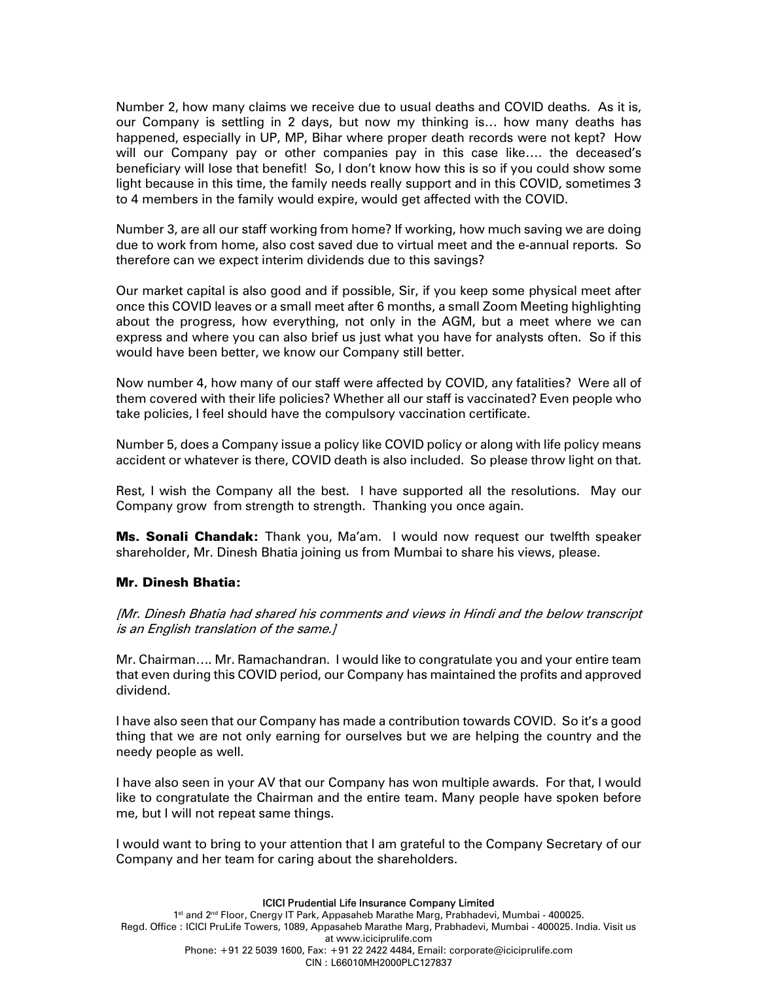Number 2, how many claims we receive due to usual deaths and COVID deaths. As it is, our Company is settling in 2 days, but now my thinking is… how many deaths has happened, especially in UP, MP, Bihar where proper death records were not kept? How will our Company pay or other companies pay in this case like…. the deceased's beneficiary will lose that benefit! So, I don't know how this is so if you could show some light because in this time, the family needs really support and in this COVID, sometimes 3 to 4 members in the family would expire, would get affected with the COVID.

Number 3, are all our staff working from home? If working, how much saving we are doing due to work from home, also cost saved due to virtual meet and the e-annual reports. So therefore can we expect interim dividends due to this savings?

Our market capital is also good and if possible, Sir, if you keep some physical meet after once this COVID leaves or a small meet after 6 months, a small Zoom Meeting highlighting about the progress, how everything, not only in the AGM, but a meet where we can express and where you can also brief us just what you have for analysts often. So if this would have been better, we know our Company still better.

Now number 4, how many of our staff were affected by COVID, any fatalities? Were all of them covered with their life policies? Whether all our staff is vaccinated? Even people who take policies, I feel should have the compulsory vaccination certificate.

Number 5, does a Company issue a policy like COVID policy or along with life policy means accident or whatever is there, COVID death is also included. So please throw light on that.

Rest, I wish the Company all the best. I have supported all the resolutions. May our Company grow from strength to strength. Thanking you once again.

Ms. Sonali Chandak: Thank you, Ma'am. I would now request our twelfth speaker shareholder, Mr. Dinesh Bhatia joining us from Mumbai to share his views, please.

### Mr. Dinesh Bhatia:

[Mr. Dinesh Bhatia had shared his comments and views in Hindi and the below transcript is an English translation of the same.]

Mr. Chairman…. Mr. Ramachandran. I would like to congratulate you and your entire team that even during this COVID period, our Company has maintained the profits and approved dividend.

I have also seen that our Company has made a contribution towards COVID. So it's a good thing that we are not only earning for ourselves but we are helping the country and the needy people as well.

I have also seen in your AV that our Company has won multiple awards. For that, I would like to congratulate the Chairman and the entire team. Many people have spoken before me, but I will not repeat same things.

I would want to bring to your attention that I am grateful to the Company Secretary of our Company and her team for caring about the shareholders.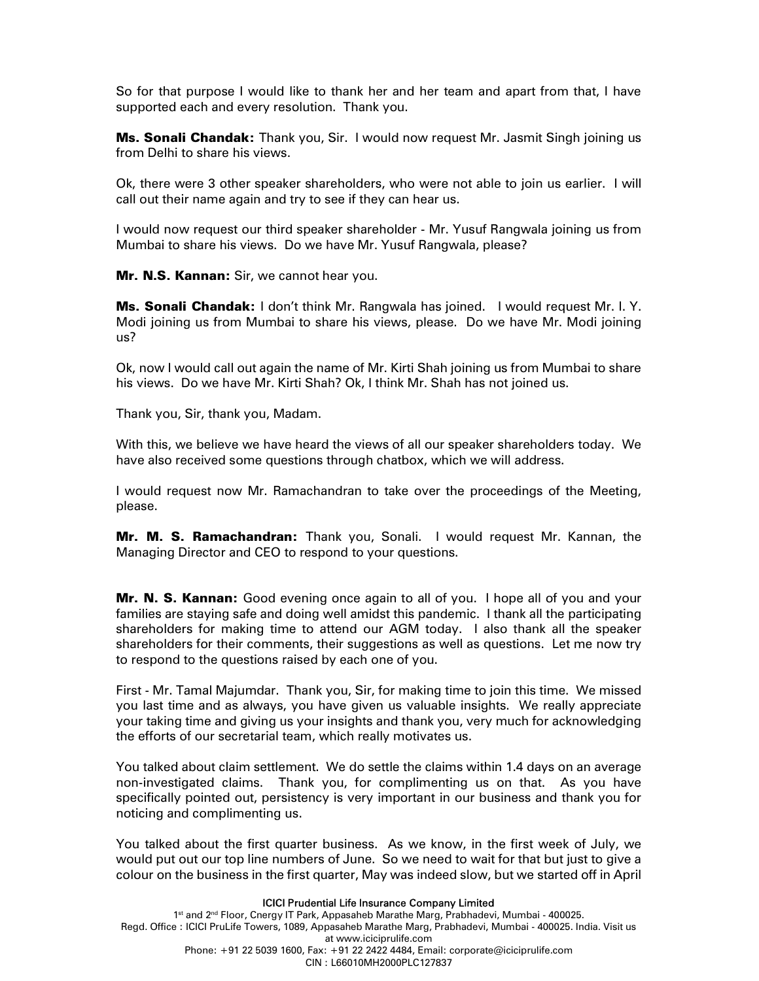So for that purpose I would like to thank her and her team and apart from that, I have supported each and every resolution. Thank you.

Ms. Sonali Chandak: Thank you, Sir. I would now request Mr. Jasmit Singh joining us from Delhi to share his views.

Ok, there were 3 other speaker shareholders, who were not able to join us earlier. I will call out their name again and try to see if they can hear us.

I would now request our third speaker shareholder - Mr. Yusuf Rangwala joining us from Mumbai to share his views. Do we have Mr. Yusuf Rangwala, please?

Mr. N.S. Kannan: Sir, we cannot hear you.

Ms. Sonali Chandak: I don't think Mr. Rangwala has joined. I would request Mr. I.Y. Modi joining us from Mumbai to share his views, please. Do we have Mr. Modi joining us?

Ok, now I would call out again the name of Mr. Kirti Shah joining us from Mumbai to share his views. Do we have Mr. Kirti Shah? Ok, I think Mr. Shah has not joined us.

Thank you, Sir, thank you, Madam.

With this, we believe we have heard the views of all our speaker shareholders today. We have also received some questions through chatbox, which we will address.

I would request now Mr. Ramachandran to take over the proceedings of the Meeting, please.

Mr. M. S. Ramachandran: Thank you, Sonali. I would request Mr. Kannan, the Managing Director and CEO to respond to your questions.

Mr. N. S. Kannan: Good evening once again to all of you. I hope all of you and your families are staying safe and doing well amidst this pandemic. I thank all the participating shareholders for making time to attend our AGM today. I also thank all the speaker shareholders for their comments, their suggestions as well as questions. Let me now try to respond to the questions raised by each one of you.

First - Mr. Tamal Majumdar. Thank you, Sir, for making time to join this time. We missed you last time and as always, you have given us valuable insights. We really appreciate your taking time and giving us your insights and thank you, very much for acknowledging the efforts of our secretarial team, which really motivates us.

You talked about claim settlement. We do settle the claims within 1.4 days on an average non-investigated claims. Thank you, for complimenting us on that. As you have specifically pointed out, persistency is very important in our business and thank you for noticing and complimenting us.

You talked about the first quarter business. As we know, in the first week of July, we would put out our top line numbers of June. So we need to wait for that but just to give a colour on the business in the first quarter, May was indeed slow, but we started off in April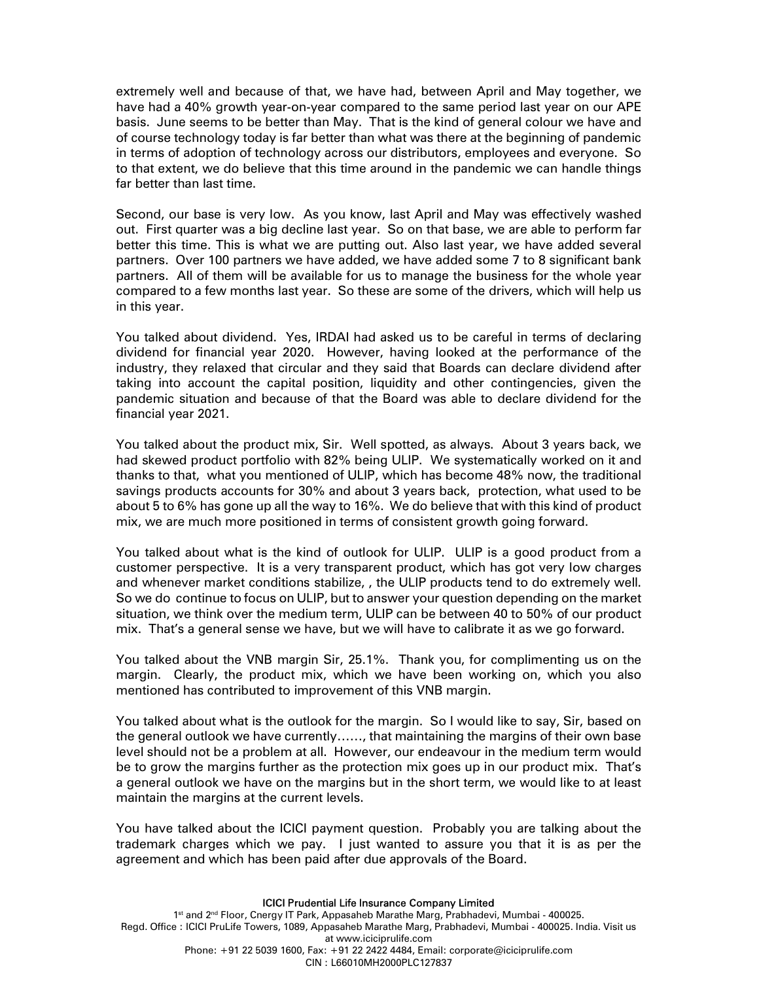extremely well and because of that, we have had, between April and May together, we have had a 40% growth year-on-year compared to the same period last year on our APE basis. June seems to be better than May. That is the kind of general colour we have and of course technology today is far better than what was there at the beginning of pandemic in terms of adoption of technology across our distributors, employees and everyone. So to that extent, we do believe that this time around in the pandemic we can handle things far better than last time.

Second, our base is very low. As you know, last April and May was effectively washed out. First quarter was a big decline last year. So on that base, we are able to perform far better this time. This is what we are putting out. Also last year, we have added several partners. Over 100 partners we have added, we have added some 7 to 8 significant bank partners. All of them will be available for us to manage the business for the whole year compared to a few months last year. So these are some of the drivers, which will help us in this year.

You talked about dividend. Yes, IRDAI had asked us to be careful in terms of declaring dividend for financial year 2020. However, having looked at the performance of the industry, they relaxed that circular and they said that Boards can declare dividend after taking into account the capital position, liquidity and other contingencies, given the pandemic situation and because of that the Board was able to declare dividend for the financial year 2021.

You talked about the product mix, Sir. Well spotted, as always. About 3 years back, we had skewed product portfolio with 82% being ULIP. We systematically worked on it and thanks to that, what you mentioned of ULIP, which has become 48% now, the traditional savings products accounts for 30% and about 3 years back, protection, what used to be about 5 to 6% has gone up all the way to 16%. We do believe that with this kind of product mix, we are much more positioned in terms of consistent growth going forward.

You talked about what is the kind of outlook for ULIP. ULIP is a good product from a customer perspective. It is a very transparent product, which has got very low charges and whenever market conditions stabilize, , the ULIP products tend to do extremely well. So we do continue to focus on ULIP, but to answer your question depending on the market situation, we think over the medium term, ULIP can be between 40 to 50% of our product mix. That's a general sense we have, but we will have to calibrate it as we go forward.

You talked about the VNB margin Sir, 25.1%. Thank you, for complimenting us on the margin. Clearly, the product mix, which we have been working on, which you also mentioned has contributed to improvement of this VNB margin.

You talked about what is the outlook for the margin. So I would like to say, Sir, based on the general outlook we have currently……, that maintaining the margins of their own base level should not be a problem at all. However, our endeavour in the medium term would be to grow the margins further as the protection mix goes up in our product mix. That's a general outlook we have on the margins but in the short term, we would like to at least maintain the margins at the current levels.

You have talked about the ICICI payment question. Probably you are talking about the trademark charges which we pay. I just wanted to assure you that it is as per the agreement and which has been paid after due approvals of the Board.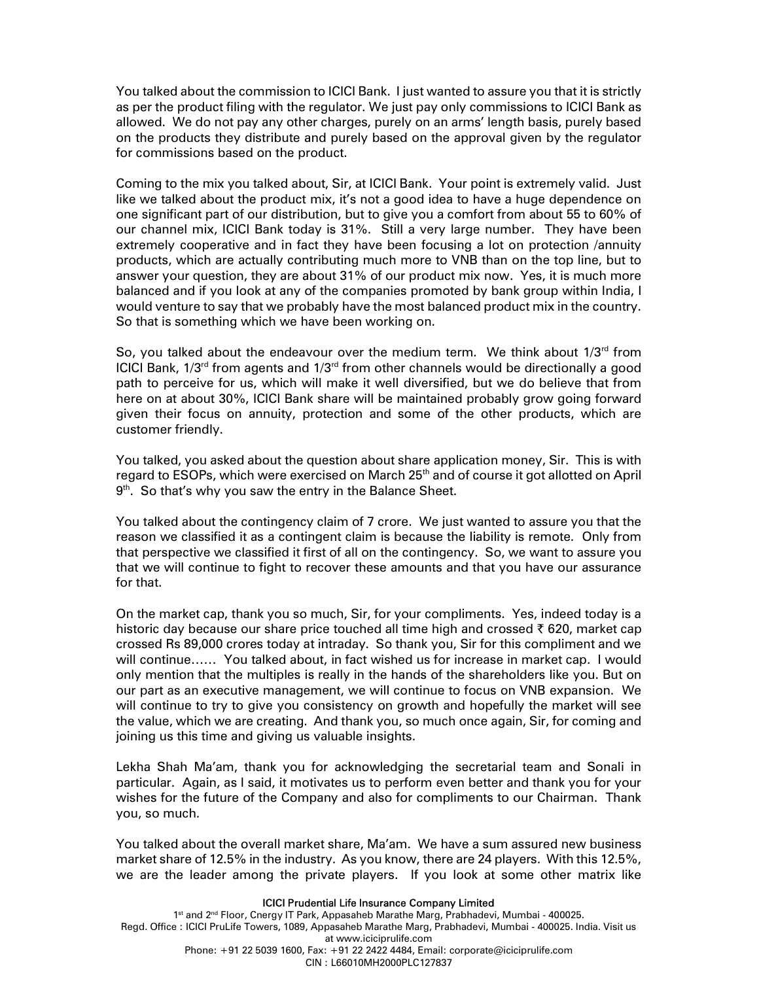You talked about the commission to ICICI Bank. I just wanted to assure you that it is strictly as per the product filing with the regulator. We just pay only commissions to ICICI Bank as allowed. We do not pay any other charges, purely on an arms' length basis, purely based on the products they distribute and purely based on the approval given by the regulator for commissions based on the product.

Coming to the mix you talked about, Sir, at ICICI Bank. Your point is extremely valid. Just like we talked about the product mix, it's not a good idea to have a huge dependence on one significant part of our distribution, but to give you a comfort from about 55 to 60% of our channel mix, ICICI Bank today is 31%. Still a very large number. They have been extremely cooperative and in fact they have been focusing a lot on protection /annuity products, which are actually contributing much more to VNB than on the top line, but to answer your question, they are about 31% of our product mix now. Yes, it is much more balanced and if you look at any of the companies promoted by bank group within India, I would venture to say that we probably have the most balanced product mix in the country. So that is something which we have been working on.

So, you talked about the endeavour over the medium term. We think about  $1/3^{\text{rd}}$  from ICICI Bank,  $1/3^{rd}$  from agents and  $1/3^{rd}$  from other channels would be directionally a good path to perceive for us, which will make it well diversified, but we do believe that from here on at about 30%, ICICI Bank share will be maintained probably grow going forward given their focus on annuity, protection and some of the other products, which are customer friendly.

You talked, you asked about the question about share application money, Sir. This is with regard to ESOPs, which were exercised on March  $25<sup>th</sup>$  and of course it got allotted on April  $9<sup>th</sup>$ . So that's why you saw the entry in the Balance Sheet.

You talked about the contingency claim of 7 crore. We just wanted to assure you that the reason we classified it as a contingent claim is because the liability is remote. Only from that perspective we classified it first of all on the contingency. So, we want to assure you that we will continue to fight to recover these amounts and that you have our assurance for that.

On the market cap, thank you so much, Sir, for your compliments. Yes, indeed today is a historic day because our share price touched all time high and crossed  $\bar{\tau}$  620, market cap crossed Rs 89,000 crores today at intraday. So thank you, Sir for this compliment and we will continue…… You talked about, in fact wished us for increase in market cap. I would only mention that the multiples is really in the hands of the shareholders like you. But on our part as an executive management, we will continue to focus on VNB expansion. We will continue to try to give you consistency on growth and hopefully the market will see the value, which we are creating. And thank you, so much once again, Sir, for coming and joining us this time and giving us valuable insights.

Lekha Shah Ma'am, thank you for acknowledging the secretarial team and Sonali in particular. Again, as I said, it motivates us to perform even better and thank you for your wishes for the future of the Company and also for compliments to our Chairman. Thank you, so much.

You talked about the overall market share, Ma'am. We have a sum assured new business market share of 12.5% in the industry. As you know, there are 24 players. With this 12.5%, we are the leader among the private players. If you look at some other matrix like

### ICICI Prudential Life Insurance Company Limited 1<sup>st</sup> and 2<sup>nd</sup> Floor, Cnergy IT Park, Appasaheb Marathe Marg, Prabhadevi, Mumbai - 400025. Regd. Office : ICICI PruLife Towers, 1089, Appasaheb Marathe Marg, Prabhadevi, Mumbai - 400025. India. Visit us at www.iciciprulife.com Phone: +91 22 5039 1600, Fax: +91 22 2422 4484, Email: corporate@iciciprulife.com

CIN : L66010MH2000PLC127837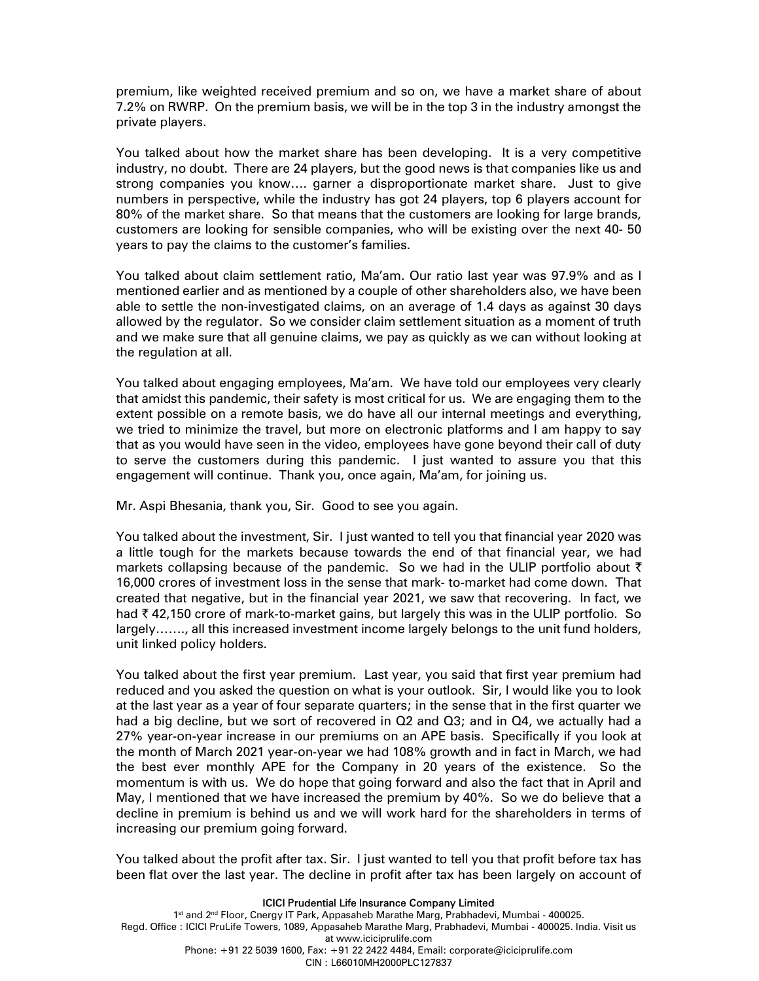premium, like weighted received premium and so on, we have a market share of about 7.2% on RWRP. On the premium basis, we will be in the top 3 in the industry amongst the private players.

You talked about how the market share has been developing. It is a very competitive industry, no doubt. There are 24 players, but the good news is that companies like us and strong companies you know…. garner a disproportionate market share. Just to give numbers in perspective, while the industry has got 24 players, top 6 players account for 80% of the market share. So that means that the customers are looking for large brands, customers are looking for sensible companies, who will be existing over the next 40- 50 years to pay the claims to the customer's families.

You talked about claim settlement ratio, Ma'am. Our ratio last year was 97.9% and as I mentioned earlier and as mentioned by a couple of other shareholders also, we have been able to settle the non-investigated claims, on an average of 1.4 days as against 30 days allowed by the regulator. So we consider claim settlement situation as a moment of truth and we make sure that all genuine claims, we pay as quickly as we can without looking at the regulation at all.

You talked about engaging employees, Ma'am. We have told our employees very clearly that amidst this pandemic, their safety is most critical for us. We are engaging them to the extent possible on a remote basis, we do have all our internal meetings and everything, we tried to minimize the travel, but more on electronic platforms and I am happy to say that as you would have seen in the video, employees have gone beyond their call of duty to serve the customers during this pandemic. I just wanted to assure you that this engagement will continue. Thank you, once again, Ma'am, for joining us.

Mr. Aspi Bhesania, thank you, Sir. Good to see you again.

You talked about the investment, Sir. I just wanted to tell you that financial year 2020 was a little tough for the markets because towards the end of that financial year, we had markets collapsing because of the pandemic. So we had in the ULIP portfolio about  $\bar{\tau}$ 16,000 crores of investment loss in the sense that mark- to-market had come down. That created that negative, but in the financial year 2021, we saw that recovering. In fact, we had ₹42,150 crore of mark-to-market gains, but largely this was in the ULIP portfolio. So largely……., all this increased investment income largely belongs to the unit fund holders, unit linked policy holders.

You talked about the first year premium. Last year, you said that first year premium had reduced and you asked the question on what is your outlook. Sir, I would like you to look at the last year as a year of four separate quarters; in the sense that in the first quarter we had a big decline, but we sort of recovered in Q2 and Q3; and in Q4, we actually had a 27% year-on-year increase in our premiums on an APE basis. Specifically if you look at the month of March 2021 year-on-year we had 108% growth and in fact in March, we had the best ever monthly APE for the Company in 20 years of the existence. So the momentum is with us. We do hope that going forward and also the fact that in April and May, I mentioned that we have increased the premium by 40%. So we do believe that a decline in premium is behind us and we will work hard for the shareholders in terms of increasing our premium going forward.

You talked about the profit after tax. Sir. I just wanted to tell you that profit before tax has been flat over the last year. The decline in profit after tax has been largely on account of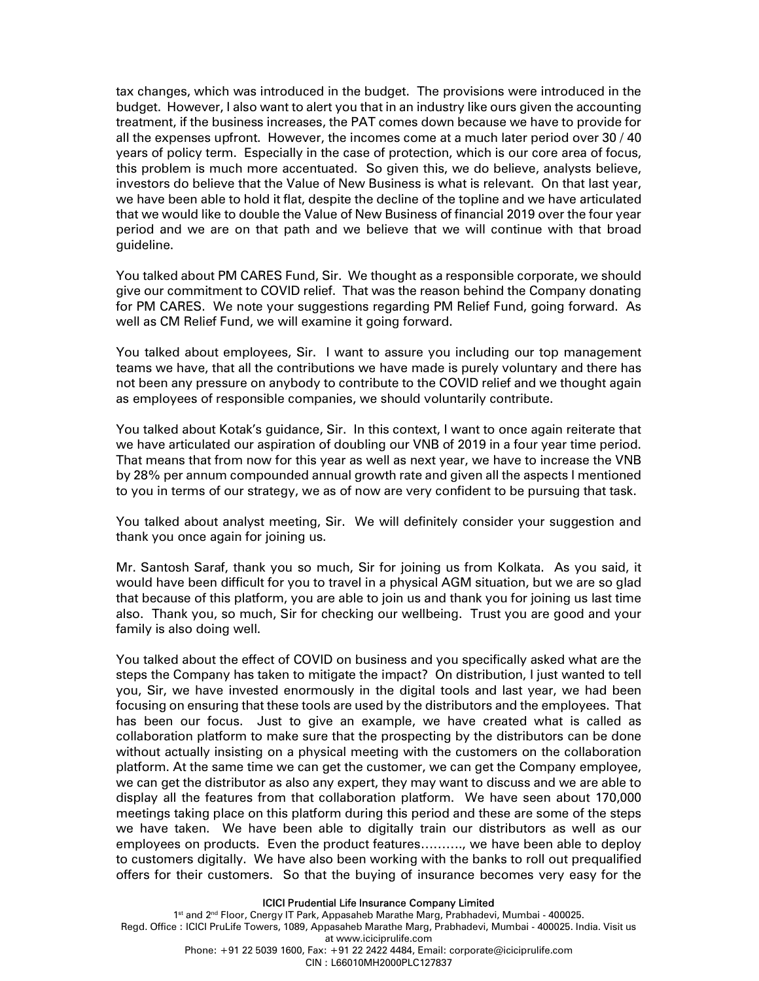tax changes, which was introduced in the budget. The provisions were introduced in the budget. However, I also want to alert you that in an industry like ours given the accounting treatment, if the business increases, the PAT comes down because we have to provide for all the expenses upfront. However, the incomes come at a much later period over 30 / 40 years of policy term. Especially in the case of protection, which is our core area of focus, this problem is much more accentuated. So given this, we do believe, analysts believe, investors do believe that the Value of New Business is what is relevant. On that last year, we have been able to hold it flat, despite the decline of the topline and we have articulated that we would like to double the Value of New Business of financial 2019 over the four year period and we are on that path and we believe that we will continue with that broad guideline.

You talked about PM CARES Fund, Sir. We thought as a responsible corporate, we should give our commitment to COVID relief. That was the reason behind the Company donating for PM CARES. We note your suggestions regarding PM Relief Fund, going forward. As well as CM Relief Fund, we will examine it going forward.

You talked about employees, Sir. I want to assure you including our top management teams we have, that all the contributions we have made is purely voluntary and there has not been any pressure on anybody to contribute to the COVID relief and we thought again as employees of responsible companies, we should voluntarily contribute.

You talked about Kotak's guidance, Sir. In this context, I want to once again reiterate that we have articulated our aspiration of doubling our VNB of 2019 in a four year time period. That means that from now for this year as well as next year, we have to increase the VNB by 28% per annum compounded annual growth rate and given all the aspects I mentioned to you in terms of our strategy, we as of now are very confident to be pursuing that task.

You talked about analyst meeting, Sir. We will definitely consider your suggestion and thank you once again for joining us.

Mr. Santosh Saraf, thank you so much, Sir for joining us from Kolkata. As you said, it would have been difficult for you to travel in a physical AGM situation, but we are so glad that because of this platform, you are able to join us and thank you for joining us last time also. Thank you, so much, Sir for checking our wellbeing. Trust you are good and your family is also doing well.

You talked about the effect of COVID on business and you specifically asked what are the steps the Company has taken to mitigate the impact? On distribution, I just wanted to tell you, Sir, we have invested enormously in the digital tools and last year, we had been focusing on ensuring that these tools are used by the distributors and the employees. That has been our focus. Just to give an example, we have created what is called as collaboration platform to make sure that the prospecting by the distributors can be done without actually insisting on a physical meeting with the customers on the collaboration platform. At the same time we can get the customer, we can get the Company employee, we can get the distributor as also any expert, they may want to discuss and we are able to display all the features from that collaboration platform. We have seen about 170,000 meetings taking place on this platform during this period and these are some of the steps we have taken. We have been able to digitally train our distributors as well as our employees on products. Even the product features………., we have been able to deploy to customers digitally. We have also been working with the banks to roll out prequalified offers for their customers. So that the buying of insurance becomes very easy for the

### ICICI Prudential Life Insurance Company Limited

1<sup>st</sup> and 2<sup>nd</sup> Floor, Cnergy IT Park, Appasaheb Marathe Marg, Prabhadevi, Mumbai - 400025. Regd. Office : ICICI PruLife Towers, 1089, Appasaheb Marathe Marg, Prabhadevi, Mumbai - 400025. India. Visit us at www.iciciprulife.com Phone: +91 22 5039 1600, Fax: +91 22 2422 4484, Email: corporate@iciciprulife.com CIN : L66010MH2000PLC127837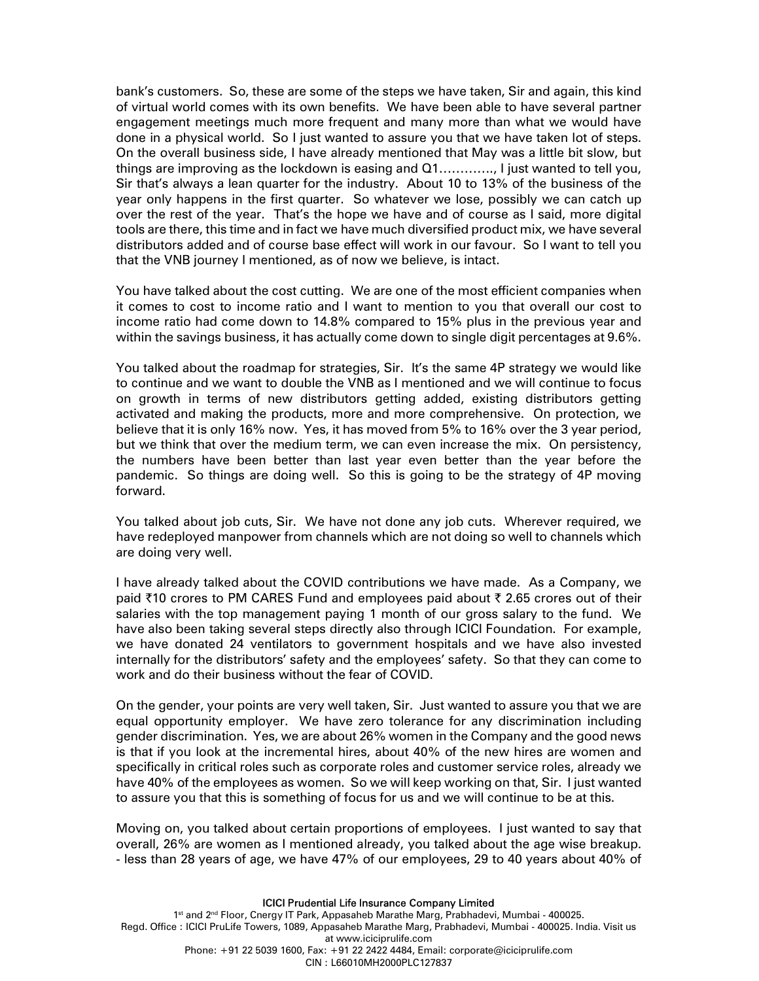bank's customers. So, these are some of the steps we have taken, Sir and again, this kind of virtual world comes with its own benefits. We have been able to have several partner engagement meetings much more frequent and many more than what we would have done in a physical world. So I just wanted to assure you that we have taken lot of steps. On the overall business side, I have already mentioned that May was a little bit slow, but things are improving as the lockdown is easing and Q1…………., I just wanted to tell you, Sir that's always a lean quarter for the industry. About 10 to 13% of the business of the year only happens in the first quarter. So whatever we lose, possibly we can catch up over the rest of the year. That's the hope we have and of course as I said, more digital tools are there, this time and in fact we have much diversified product mix, we have several distributors added and of course base effect will work in our favour. So I want to tell you that the VNB journey I mentioned, as of now we believe, is intact.

You have talked about the cost cutting. We are one of the most efficient companies when it comes to cost to income ratio and I want to mention to you that overall our cost to income ratio had come down to 14.8% compared to 15% plus in the previous year and within the savings business, it has actually come down to single digit percentages at 9.6%.

You talked about the roadmap for strategies, Sir. It's the same 4P strategy we would like to continue and we want to double the VNB as I mentioned and we will continue to focus on growth in terms of new distributors getting added, existing distributors getting activated and making the products, more and more comprehensive. On protection, we believe that it is only 16% now. Yes, it has moved from 5% to 16% over the 3 year period, but we think that over the medium term, we can even increase the mix. On persistency, the numbers have been better than last year even better than the year before the pandemic. So things are doing well. So this is going to be the strategy of 4P moving forward.

You talked about job cuts, Sir. We have not done any job cuts. Wherever required, we have redeployed manpower from channels which are not doing so well to channels which are doing very well.

I have already talked about the COVID contributions we have made. As a Company, we paid ₹10 crores to PM CARES Fund and employees paid about ₹ 2.65 crores out of their salaries with the top management paying 1 month of our gross salary to the fund. We have also been taking several steps directly also through ICICI Foundation. For example, we have donated 24 ventilators to government hospitals and we have also invested internally for the distributors' safety and the employees' safety. So that they can come to work and do their business without the fear of COVID.

On the gender, your points are very well taken, Sir. Just wanted to assure you that we are equal opportunity employer. We have zero tolerance for any discrimination including gender discrimination. Yes, we are about 26% women in the Company and the good news is that if you look at the incremental hires, about 40% of the new hires are women and specifically in critical roles such as corporate roles and customer service roles, already we have 40% of the employees as women. So we will keep working on that, Sir. I just wanted to assure you that this is something of focus for us and we will continue to be at this.

Moving on, you talked about certain proportions of employees. I just wanted to say that overall, 26% are women as I mentioned already, you talked about the age wise breakup. - less than 28 years of age, we have 47% of our employees, 29 to 40 years about 40% of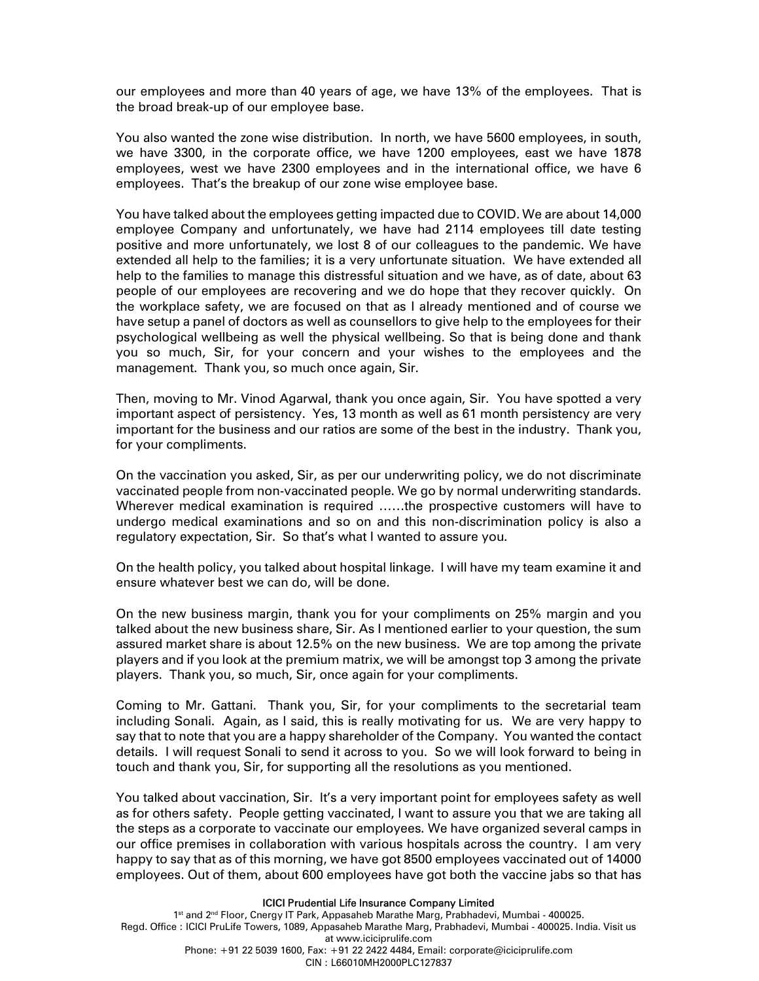our employees and more than 40 years of age, we have 13% of the employees. That is the broad break-up of our employee base.

You also wanted the zone wise distribution. In north, we have 5600 employees, in south, we have 3300, in the corporate office, we have 1200 employees, east we have 1878 employees, west we have 2300 employees and in the international office, we have 6 employees. That's the breakup of our zone wise employee base.

You have talked about the employees getting impacted due to COVID. We are about 14,000 employee Company and unfortunately, we have had 2114 employees till date testing positive and more unfortunately, we lost 8 of our colleagues to the pandemic. We have extended all help to the families; it is a very unfortunate situation. We have extended all help to the families to manage this distressful situation and we have, as of date, about 63 people of our employees are recovering and we do hope that they recover quickly. On the workplace safety, we are focused on that as I already mentioned and of course we have setup a panel of doctors as well as counsellors to give help to the employees for their psychological wellbeing as well the physical wellbeing. So that is being done and thank you so much, Sir, for your concern and your wishes to the employees and the management. Thank you, so much once again, Sir.

Then, moving to Mr. Vinod Agarwal, thank you once again, Sir. You have spotted a very important aspect of persistency. Yes, 13 month as well as 61 month persistency are very important for the business and our ratios are some of the best in the industry. Thank you, for your compliments.

On the vaccination you asked, Sir, as per our underwriting policy, we do not discriminate vaccinated people from non-vaccinated people. We go by normal underwriting standards. Wherever medical examination is required ……the prospective customers will have to undergo medical examinations and so on and this non-discrimination policy is also a regulatory expectation, Sir. So that's what I wanted to assure you.

On the health policy, you talked about hospital linkage. I will have my team examine it and ensure whatever best we can do, will be done.

On the new business margin, thank you for your compliments on 25% margin and you talked about the new business share, Sir. As I mentioned earlier to your question, the sum assured market share is about 12.5% on the new business. We are top among the private players and if you look at the premium matrix, we will be amongst top 3 among the private players. Thank you, so much, Sir, once again for your compliments.

Coming to Mr. Gattani. Thank you, Sir, for your compliments to the secretarial team including Sonali. Again, as I said, this is really motivating for us. We are very happy to say that to note that you are a happy shareholder of the Company. You wanted the contact details. I will request Sonali to send it across to you. So we will look forward to being in touch and thank you, Sir, for supporting all the resolutions as you mentioned.

You talked about vaccination, Sir. It's a very important point for employees safety as well as for others safety. People getting vaccinated, I want to assure you that we are taking all the steps as a corporate to vaccinate our employees. We have organized several camps in our office premises in collaboration with various hospitals across the country. I am very happy to say that as of this morning, we have got 8500 employees vaccinated out of 14000 employees. Out of them, about 600 employees have got both the vaccine jabs so that has

#### ICICI Prudential Life Insurance Company Limited 1<sup>st</sup> and 2<sup>nd</sup> Floor, Cnergy IT Park, Appasaheb Marathe Marg, Prabhadevi, Mumbai - 400025. Regd. Office : ICICI PruLife Towers, 1089, Appasaheb Marathe Marg, Prabhadevi, Mumbai - 400025. India. Visit us at www.iciciprulife.com Phone: +91 22 5039 1600, Fax: +91 22 2422 4484, Email: corporate@iciciprulife.com

CIN : L66010MH2000PLC127837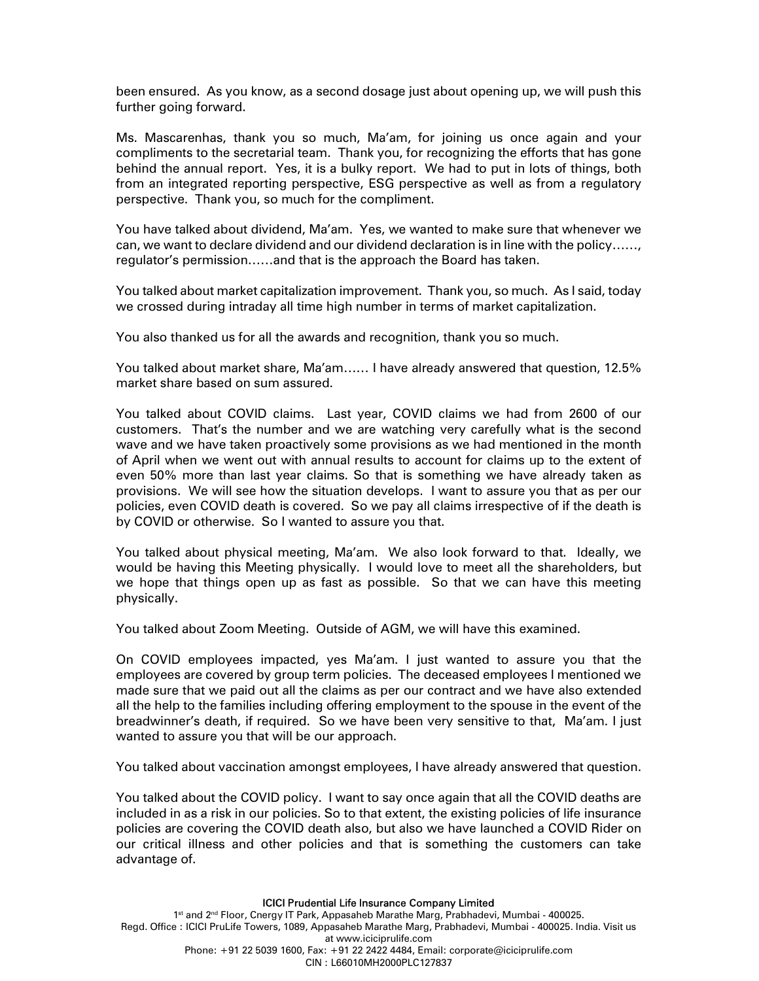been ensured. As you know, as a second dosage just about opening up, we will push this further going forward.

Ms. Mascarenhas, thank you so much, Ma'am, for joining us once again and your compliments to the secretarial team. Thank you, for recognizing the efforts that has gone behind the annual report. Yes, it is a bulky report. We had to put in lots of things, both from an integrated reporting perspective, ESG perspective as well as from a regulatory perspective. Thank you, so much for the compliment.

You have talked about dividend, Ma'am. Yes, we wanted to make sure that whenever we can, we want to declare dividend and our dividend declaration is in line with the policy……, regulator's permission……and that is the approach the Board has taken.

You talked about market capitalization improvement. Thank you, so much. As I said, today we crossed during intraday all time high number in terms of market capitalization.

You also thanked us for all the awards and recognition, thank you so much.

You talked about market share, Ma'am…… I have already answered that question, 12.5% market share based on sum assured.

You talked about COVID claims. Last year, COVID claims we had from 2600 of our customers. That's the number and we are watching very carefully what is the second wave and we have taken proactively some provisions as we had mentioned in the month of April when we went out with annual results to account for claims up to the extent of even 50% more than last year claims. So that is something we have already taken as provisions. We will see how the situation develops. I want to assure you that as per our policies, even COVID death is covered. So we pay all claims irrespective of if the death is by COVID or otherwise. So I wanted to assure you that.

You talked about physical meeting, Ma'am. We also look forward to that. Ideally, we would be having this Meeting physically. I would love to meet all the shareholders, but we hope that things open up as fast as possible. So that we can have this meeting physically.

You talked about Zoom Meeting. Outside of AGM, we will have this examined.

On COVID employees impacted, yes Ma'am. I just wanted to assure you that the employees are covered by group term policies. The deceased employees I mentioned we made sure that we paid out all the claims as per our contract and we have also extended all the help to the families including offering employment to the spouse in the event of the breadwinner's death, if required. So we have been very sensitive to that, Ma'am. I just wanted to assure you that will be our approach.

You talked about vaccination amongst employees, I have already answered that question.

You talked about the COVID policy. I want to say once again that all the COVID deaths are included in as a risk in our policies. So to that extent, the existing policies of life insurance policies are covering the COVID death also, but also we have launched a COVID Rider on our critical illness and other policies and that is something the customers can take advantage of.